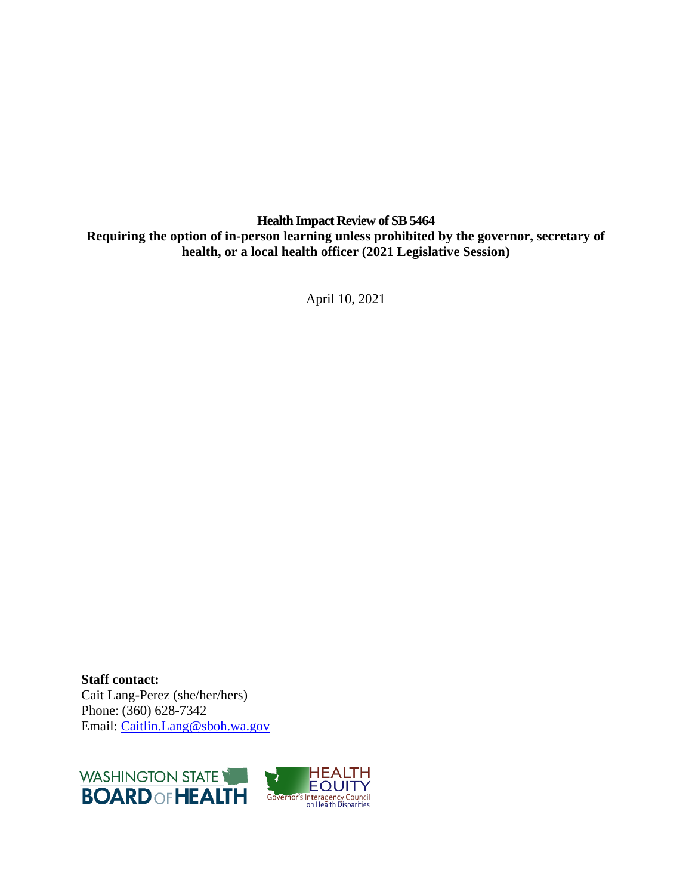**Health Impact Review of SB 5464 Requiring the option of in-person learning unless prohibited by the governor, secretary of health, or a local health officer (2021 Legislative Session)**

April 10, 2021

**Staff contact:** Cait Lang-Perez (she/her/hers) Phone: (360) 628-7342 Email: [Caitlin.Lang@sboh.wa.gov](mailto:Caitlin.Lang@sboh.wa.gov)

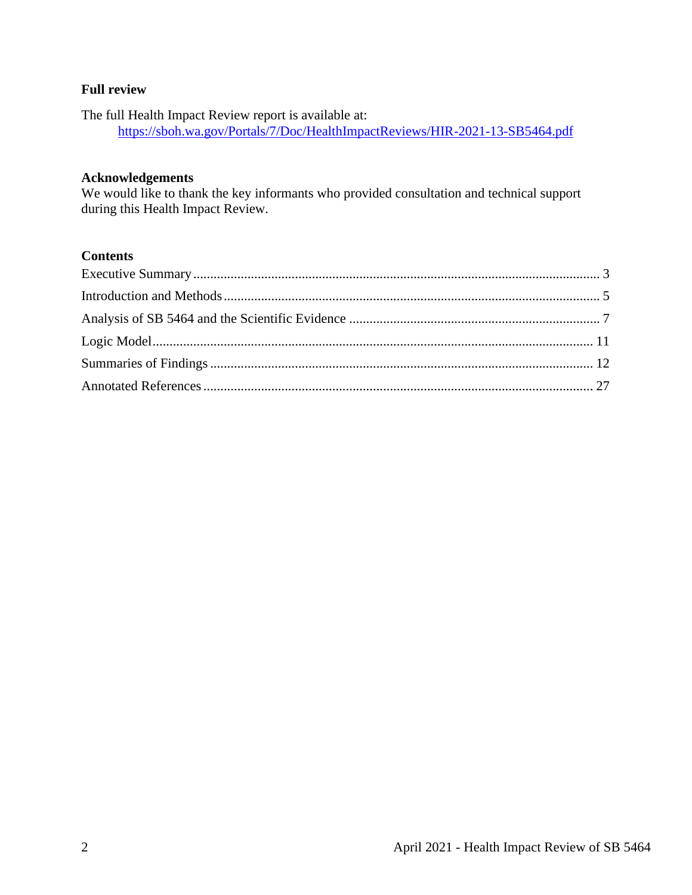## **Full review**

The full Health Impact Review report is available at: <https://sboh.wa.gov/Portals/7/Doc/HealthImpactReviews/HIR-2021-13-SB5464.pdf>

#### **Acknowledgements**

We would like to thank the key informants who provided consultation and technical support during this Health Impact Review.

## **Contents**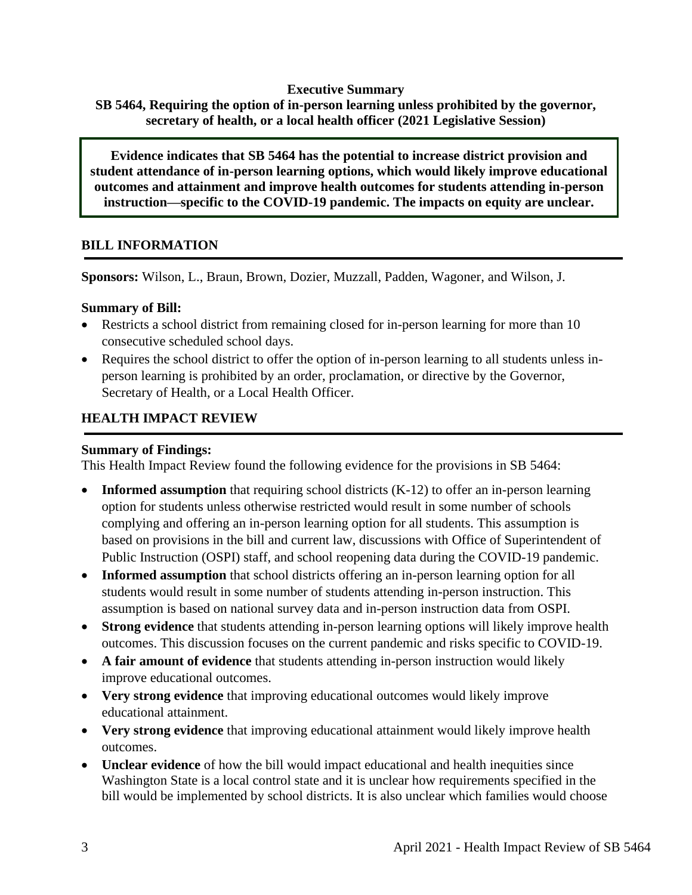#### **Executive Summary**

<span id="page-2-0"></span>**SB 5464, Requiring the option of in-person learning unless prohibited by the governor, secretary of health, or a local health officer (2021 Legislative Session)**

**Evidence indicates that SB 5464 has the potential to increase district provision and student attendance of in-person learning options, which would likely improve educational outcomes and attainment and improve health outcomes for students attending in-person instruction—specific to the COVID-19 pandemic. The impacts on equity are unclear.**

## **BILL INFORMATION**

**Sponsors:** Wilson, L., Braun, Brown, Dozier, Muzzall, Padden, Wagoner, and Wilson, J.

#### **Summary of Bill:**

- Restricts a school district from remaining closed for in-person learning for more than 10 consecutive scheduled school days.
- Requires the school district to offer the option of in-person learning to all students unless inperson learning is prohibited by an order, proclamation, or directive by the Governor, Secretary of Health, or a Local Health Officer.

## **HEALTH IMPACT REVIEW**

#### **Summary of Findings:**

This Health Impact Review found the following evidence for the provisions in SB 5464:

- **Informed assumption** that requiring school districts (K-12) to offer an in-person learning option for students unless otherwise restricted would result in some number of schools complying and offering an in-person learning option for all students. This assumption is based on provisions in the bill and current law, discussions with Office of Superintendent of Public Instruction (OSPI) staff, and school reopening data during the COVID-19 pandemic.
- **Informed assumption** that school districts offering an in-person learning option for all students would result in some number of students attending in-person instruction. This assumption is based on national survey data and in-person instruction data from OSPI.
- **Strong evidence** that students attending in-person learning options will likely improve health outcomes. This discussion focuses on the current pandemic and risks specific to COVID-19.
- **A fair amount of evidence** that students attending in-person instruction would likely improve educational outcomes.
- **Very strong evidence** that improving educational outcomes would likely improve educational attainment.
- **Very strong evidence** that improving educational attainment would likely improve health outcomes.
- **Unclear evidence** of how the bill would impact educational and health inequities since Washington State is a local control state and it is unclear how requirements specified in the bill would be implemented by school districts. It is also unclear which families would choose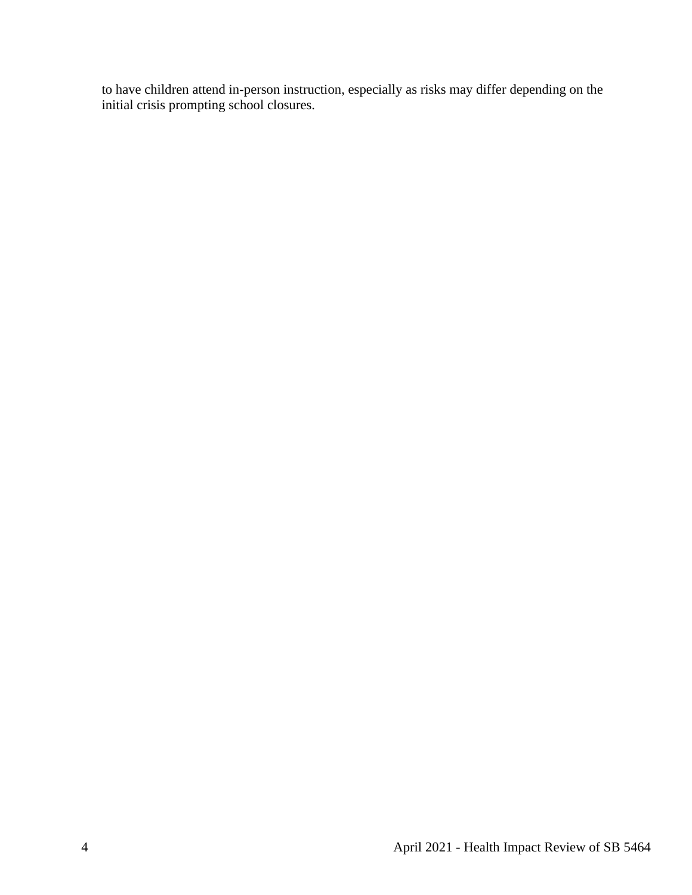to have children attend in-person instruction, especially as risks may differ depending on the initial crisis prompting school closures.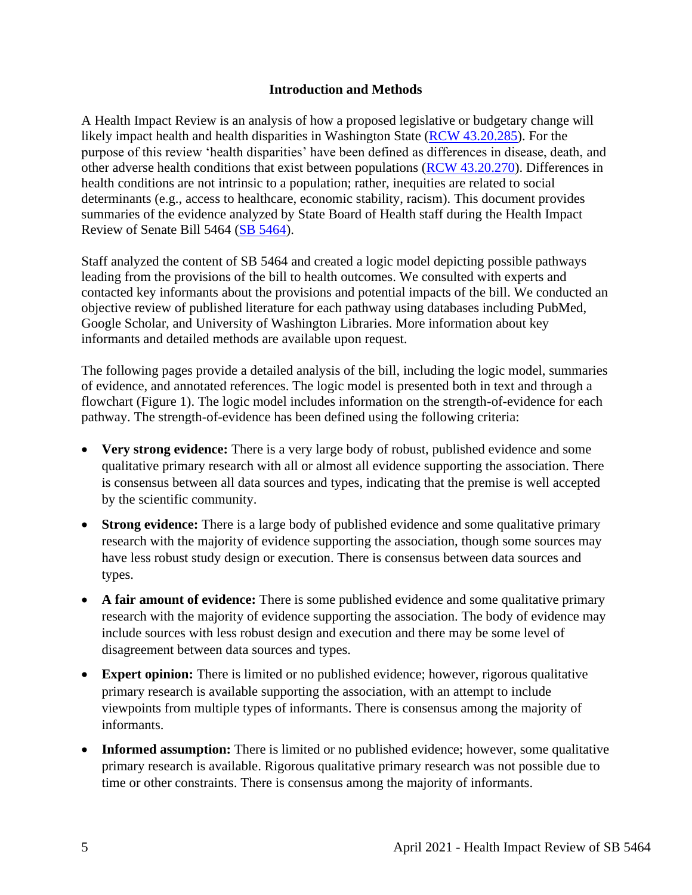#### **Introduction and Methods**

<span id="page-4-0"></span>A Health Impact Review is an analysis of how a proposed legislative or budgetary change will likely impact health and health disparities in Washington State [\(RCW 43.20.285\)](http://apps.leg.wa.gov/rcw/default.aspx?cite=43.20.285). For the purpose of this review 'health disparities' have been defined as differences in disease, death, and other adverse health conditions that exist between populations [\(RCW 43.20.270\)](http://apps.leg.wa.gov/rcw/default.aspx?cite=43.20.270). Differences in health conditions are not intrinsic to a population; rather, inequities are related to social determinants (e.g., access to healthcare, economic stability, racism). This document provides summaries of the evidence analyzed by State Board of Health staff during the Health Impact Review of Senate Bill 5464 [\(SB 5464\)](http://lawfilesext.leg.wa.gov/biennium/2021-22/Pdf/Bills/Senate%20Bills/5464.pdf?q=20210329075026).

Staff analyzed the content of SB 5464 and created a logic model depicting possible pathways leading from the provisions of the bill to health outcomes. We consulted with experts and contacted key informants about the provisions and potential impacts of the bill. We conducted an objective review of published literature for each pathway using databases including PubMed, Google Scholar, and University of Washington Libraries. More information about key informants and detailed methods are available upon request.

The following pages provide a detailed analysis of the bill, including the logic model, summaries of evidence, and annotated references. The logic model is presented both in text and through a flowchart (Figure 1). The logic model includes information on the strength-of-evidence for each pathway. The strength-of-evidence has been defined using the following criteria:

- **Very strong evidence:** There is a very large body of robust, published evidence and some qualitative primary research with all or almost all evidence supporting the association. There is consensus between all data sources and types, indicating that the premise is well accepted by the scientific community.
- **Strong evidence:** There is a large body of published evidence and some qualitative primary research with the majority of evidence supporting the association, though some sources may have less robust study design or execution. There is consensus between data sources and types.
- A fair amount of evidence: There is some published evidence and some qualitative primary research with the majority of evidence supporting the association. The body of evidence may include sources with less robust design and execution and there may be some level of disagreement between data sources and types.
- **Expert opinion:** There is limited or no published evidence; however, rigorous qualitative primary research is available supporting the association, with an attempt to include viewpoints from multiple types of informants. There is consensus among the majority of informants.
- **Informed assumption:** There is limited or no published evidence; however, some qualitative primary research is available. Rigorous qualitative primary research was not possible due to time or other constraints. There is consensus among the majority of informants.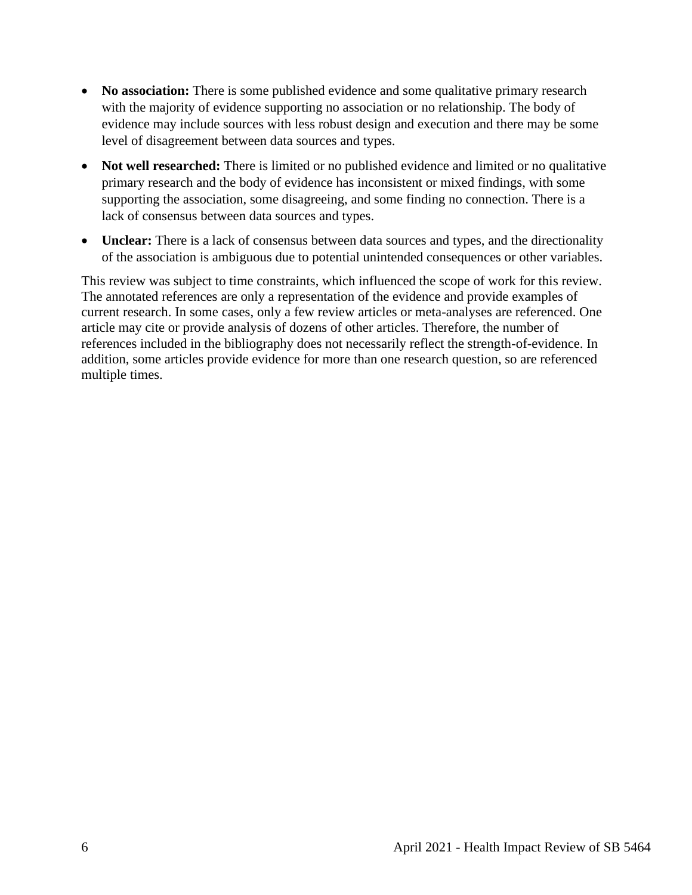- **No association:** There is some published evidence and some qualitative primary research with the majority of evidence supporting no association or no relationship. The body of evidence may include sources with less robust design and execution and there may be some level of disagreement between data sources and types.
- **Not well researched:** There is limited or no published evidence and limited or no qualitative primary research and the body of evidence has inconsistent or mixed findings, with some supporting the association, some disagreeing, and some finding no connection. There is a lack of consensus between data sources and types.
- **Unclear:** There is a lack of consensus between data sources and types, and the directionality of the association is ambiguous due to potential unintended consequences or other variables.

This review was subject to time constraints, which influenced the scope of work for this review. The annotated references are only a representation of the evidence and provide examples of current research. In some cases, only a few review articles or meta-analyses are referenced. One article may cite or provide analysis of dozens of other articles. Therefore, the number of references included in the bibliography does not necessarily reflect the strength-of-evidence. In addition, some articles provide evidence for more than one research question, so are referenced multiple times.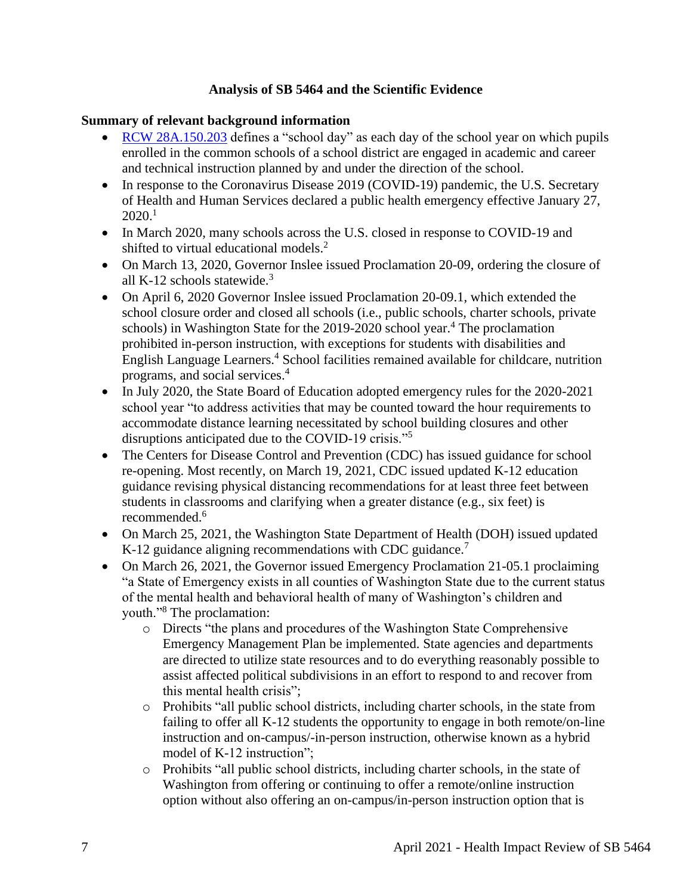## **Analysis of SB 5464 and the Scientific Evidence**

#### <span id="page-6-0"></span>**Summary of relevant background information**

- [RCW 28A.150.203](https://app.leg.wa.gov/rcw/default.aspx?cite=28A.150.203) defines a "school day" as each day of the school year on which pupils enrolled in the common schools of a school district are engaged in academic and career and technical instruction planned by and under the direction of the school.
- In response to the Coronavirus Disease 2019 (COVID-19) pandemic, the U.S. Secretary of Health and Human Services declared a public health emergency effective January 27,  $2020.<sup>1</sup>$
- In March 2020, many schools across the U.S. closed in response to COVID-19 and shifted to virtual educational models.<sup>2</sup>
- On March 13, 2020, Governor Inslee issued Proclamation 20-09, ordering the closure of all K-12 schools statewide. $3$
- On April 6, 2020 Governor Inslee issued Proclamation 20-09.1, which extended the school closure order and closed all schools (i.e., public schools, charter schools, private schools) in Washington State for the 2019-2020 school year.<sup>4</sup> The proclamation prohibited in-person instruction, with exceptions for students with disabilities and English Language Learners.<sup>4</sup> School facilities remained available for childcare, nutrition programs, and social services.<sup>4</sup>
- In July 2020, the State Board of Education adopted emergency rules for the 2020-2021 school year "to address activities that may be counted toward the hour requirements to accommodate distance learning necessitated by school building closures and other disruptions anticipated due to the COVID-19 crisis."<sup>5</sup>
- The Centers for Disease Control and Prevention (CDC) has issued guidance for school re-opening. Most recently, on March 19, 2021, CDC issued updated K-12 education guidance revising physical distancing recommendations for at least three feet between students in classrooms and clarifying when a greater distance (e.g., six feet) is recommended.<sup>6</sup>
- On March 25, 2021, the Washington State Department of Health (DOH) issued updated K-12 guidance aligning recommendations with CDC guidance.<sup>7</sup>
- On March 26, 2021, the Governor issued Emergency Proclamation 21-05.1 proclaiming "a State of Emergency exists in all counties of Washington State due to the current status of the mental health and behavioral health of many of Washington's children and youth."<sup>8</sup> The proclamation:
	- o Directs "the plans and procedures of the Washington State Comprehensive Emergency Management Plan be implemented. State agencies and departments are directed to utilize state resources and to do everything reasonably possible to assist affected political subdivisions in an effort to respond to and recover from this mental health crisis";
	- o Prohibits "all public school districts, including charter schools, in the state from failing to offer all K-12 students the opportunity to engage in both remote/on-line instruction and on-campus/-in-person instruction, otherwise known as a hybrid model of K-12 instruction";
	- $\circ$  Prohibits "all public school districts, including charter schools, in the state of Washington from offering or continuing to offer a remote/online instruction option without also offering an on-campus/in-person instruction option that is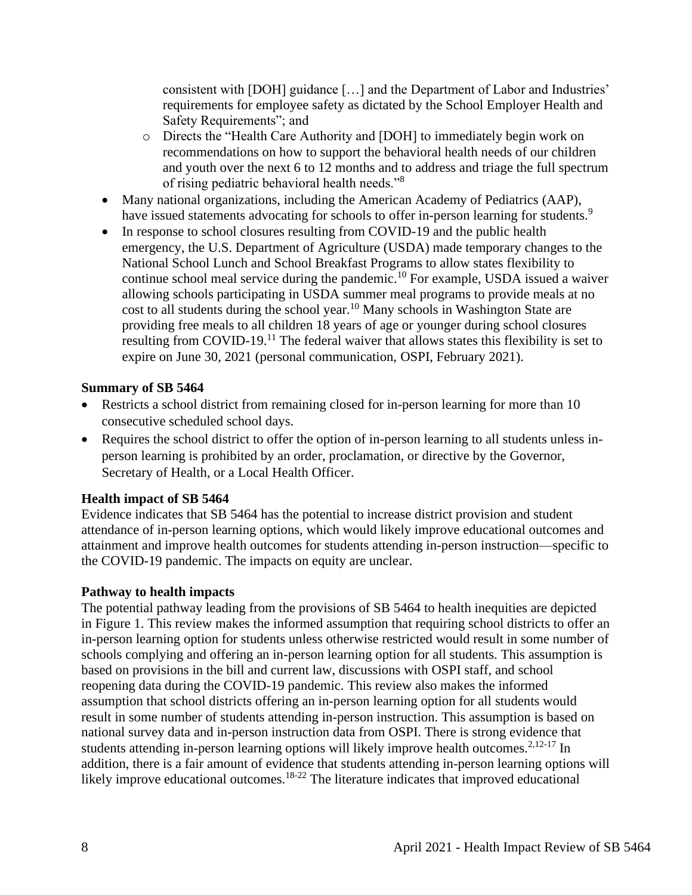consistent with [DOH] guidance […] and the Department of Labor and Industries' requirements for employee safety as dictated by the School Employer Health and Safety Requirements"; and

- o Directs the "Health Care Authority and [DOH] to immediately begin work on recommendations on how to support the behavioral health needs of our children and youth over the next 6 to 12 months and to address and triage the full spectrum of rising pediatric behavioral health needs."<sup>8</sup>
- Many national organizations, including the American Academy of Pediatrics (AAP), have issued statements advocating for schools to offer in-person learning for students.<sup>9</sup>
- In response to school closures resulting from COVID-19 and the public health emergency, the U.S. Department of Agriculture (USDA) made temporary changes to the National School Lunch and School Breakfast Programs to allow states flexibility to continue school meal service during the pandemic.<sup>10</sup> For example, USDA issued a waiver allowing schools participating in USDA summer meal programs to provide meals at no cost to all students during the school year.<sup>10</sup> Many schools in Washington State are providing free meals to all children 18 years of age or younger during school closures resulting from COVID-19.<sup>11</sup> The federal waiver that allows states this flexibility is set to expire on June 30, 2021 (personal communication, OSPI, February 2021).

## **Summary of SB 5464**

- Restricts a school district from remaining closed for in-person learning for more than 10 consecutive scheduled school days.
- Requires the school district to offer the option of in-person learning to all students unless inperson learning is prohibited by an order, proclamation, or directive by the Governor, Secretary of Health, or a Local Health Officer.

## **Health impact of SB 5464**

Evidence indicates that SB 5464 has the potential to increase district provision and student attendance of in-person learning options, which would likely improve educational outcomes and attainment and improve health outcomes for students attending in-person instruction—specific to the COVID-19 pandemic. The impacts on equity are unclear.

## **Pathway to health impacts**

The potential pathway leading from the provisions of SB 5464 to health inequities are depicted in Figure 1. This review makes the informed assumption that requiring school districts to offer an in-person learning option for students unless otherwise restricted would result in some number of schools complying and offering an in-person learning option for all students. This assumption is based on provisions in the bill and current law, discussions with OSPI staff, and school reopening data during the COVID-19 pandemic. This review also makes the informed assumption that school districts offering an in-person learning option for all students would result in some number of students attending in-person instruction. This assumption is based on national survey data and in-person instruction data from OSPI. There is strong evidence that students attending in-person learning options will likely improve health outcomes.<sup>2,12-17</sup> In addition, there is a fair amount of evidence that students attending in-person learning options will likely improve educational outcomes.<sup>18-22</sup> The literature indicates that improved educational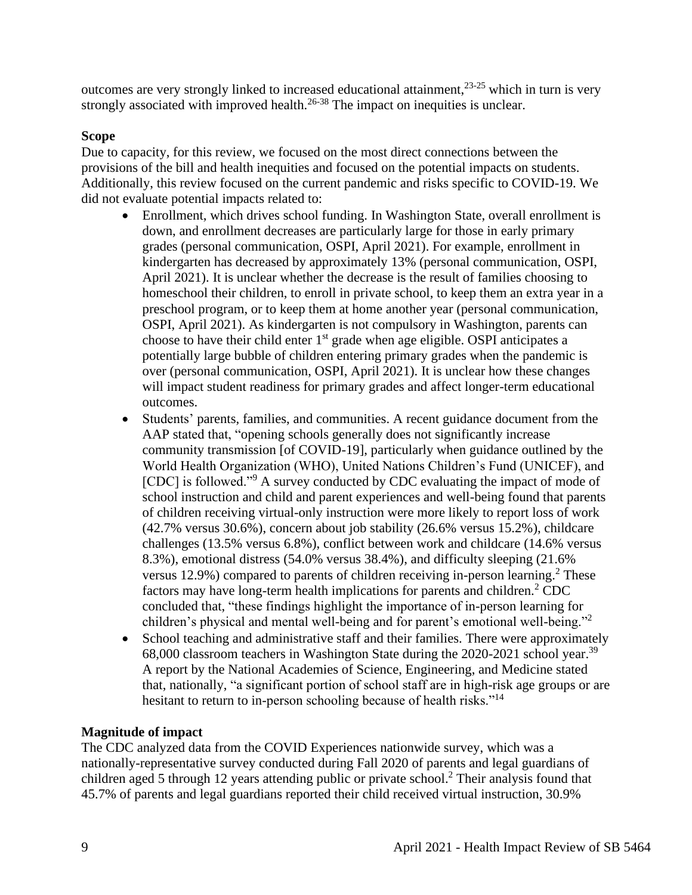outcomes are very strongly linked to increased educational attainment,23-25 which in turn is very strongly associated with improved health.<sup>26-38</sup> The impact on inequities is unclear.

## **Scope**

Due to capacity, for this review, we focused on the most direct connections between the provisions of the bill and health inequities and focused on the potential impacts on students. Additionally, this review focused on the current pandemic and risks specific to COVID-19. We did not evaluate potential impacts related to:

- Enrollment, which drives school funding. In Washington State, overall enrollment is down, and enrollment decreases are particularly large for those in early primary grades (personal communication, OSPI, April 2021). For example, enrollment in kindergarten has decreased by approximately 13% (personal communication, OSPI, April 2021). It is unclear whether the decrease is the result of families choosing to homeschool their children, to enroll in private school, to keep them an extra year in a preschool program, or to keep them at home another year (personal communication, OSPI, April 2021). As kindergarten is not compulsory in Washington, parents can choose to have their child enter 1<sup>st</sup> grade when age eligible. OSPI anticipates a potentially large bubble of children entering primary grades when the pandemic is over (personal communication, OSPI, April 2021). It is unclear how these changes will impact student readiness for primary grades and affect longer-term educational outcomes.
- Students' parents, families, and communities. A recent guidance document from the AAP stated that, "opening schools generally does not significantly increase community transmission [of COVID-19], particularly when guidance outlined by the World Health Organization (WHO), United Nations Children's Fund (UNICEF), and [CDC] is followed."<sup>9</sup> A survey conducted by CDC evaluating the impact of mode of school instruction and child and parent experiences and well-being found that parents of children receiving virtual-only instruction were more likely to report loss of work (42.7% versus 30.6%), concern about job stability (26.6% versus 15.2%), childcare challenges (13.5% versus 6.8%), conflict between work and childcare (14.6% versus 8.3%), emotional distress (54.0% versus 38.4%), and difficulty sleeping (21.6% versus  $12.9\%$ ) compared to parents of children receiving in-person learning.<sup>2</sup> These factors may have long-term health implications for parents and children.<sup>2</sup> CDC concluded that, "these findings highlight the importance of in-person learning for children's physical and mental well-being and for parent's emotional well-being."<sup>2</sup>
- School teaching and administrative staff and their families. There were approximately 68,000 classroom teachers in Washington State during the 2020-2021 school year.<sup>39</sup> A report by the National Academies of Science, Engineering, and Medicine stated that, nationally, "a significant portion of school staff are in high-risk age groups or are hesitant to return to in-person schooling because of health risks."<sup>14</sup>

## **Magnitude of impact**

The CDC analyzed data from the COVID Experiences nationwide survey, which was a nationally-representative survey conducted during Fall 2020 of parents and legal guardians of children aged 5 through 12 years attending public or private school. <sup>2</sup> Their analysis found that 45.7% of parents and legal guardians reported their child received virtual instruction, 30.9%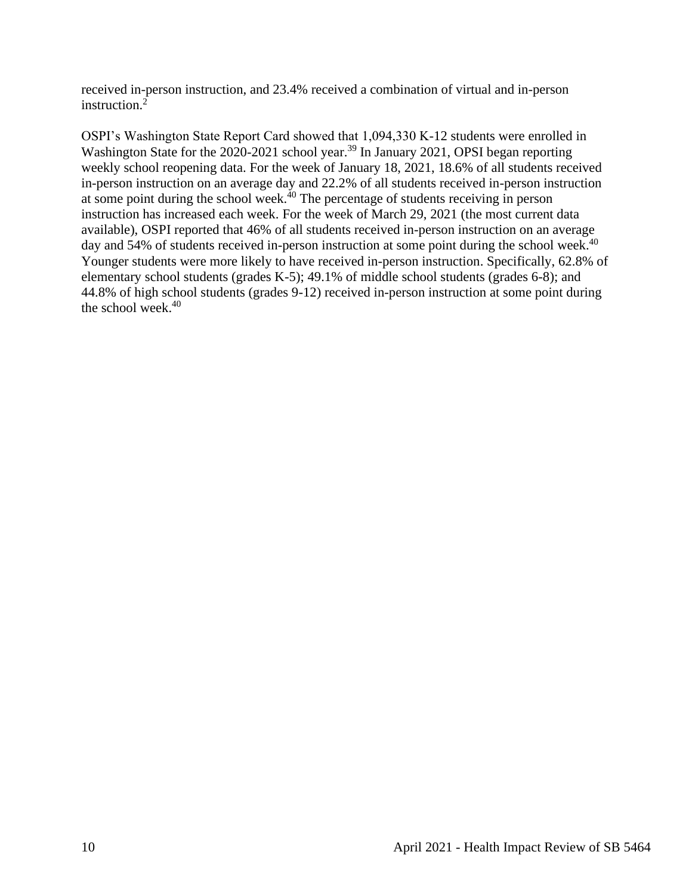received in-person instruction, and 23.4% received a combination of virtual and in-person instruction. $2\overline{2}$ 

OSPI's Washington State Report Card showed that 1,094,330 K-12 students were enrolled in Washington State for the 2020-2021 school year.<sup>39</sup> In January 2021, OPSI began reporting weekly school reopening data. For the week of January 18, 2021, 18.6% of all students received in-person instruction on an average day and 22.2% of all students received in-person instruction at some point during the school week. $40$  The percentage of students receiving in person instruction has increased each week. For the week of March 29, 2021 (the most current data available), OSPI reported that 46% of all students received in-person instruction on an average day and 54% of students received in-person instruction at some point during the school week.<sup>40</sup> Younger students were more likely to have received in-person instruction. Specifically, 62.8% of elementary school students (grades K-5); 49.1% of middle school students (grades 6-8); and 44.8% of high school students (grades 9-12) received in-person instruction at some point during the school week. $40$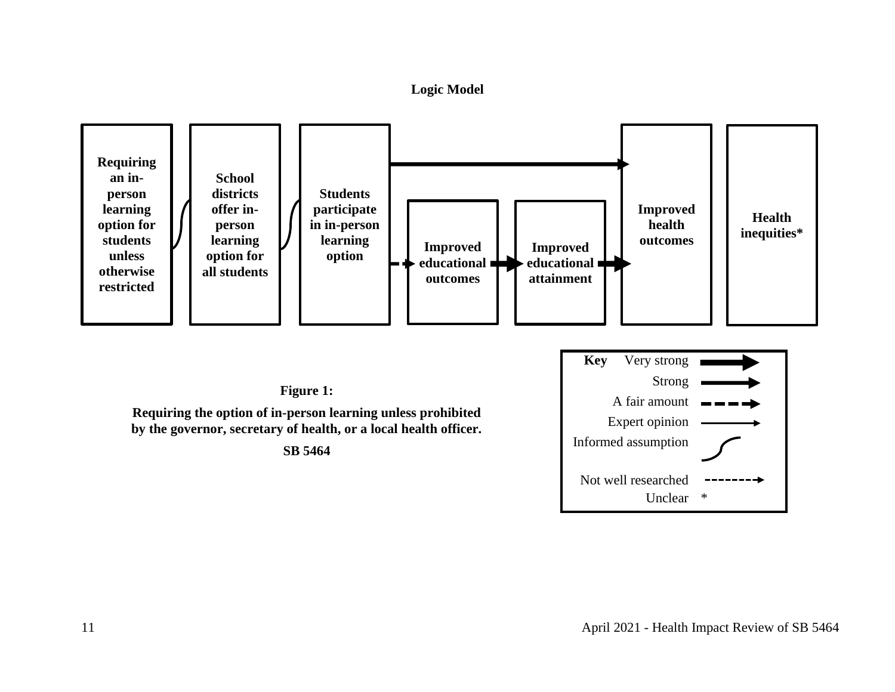**Logic Model**

<span id="page-10-0"></span>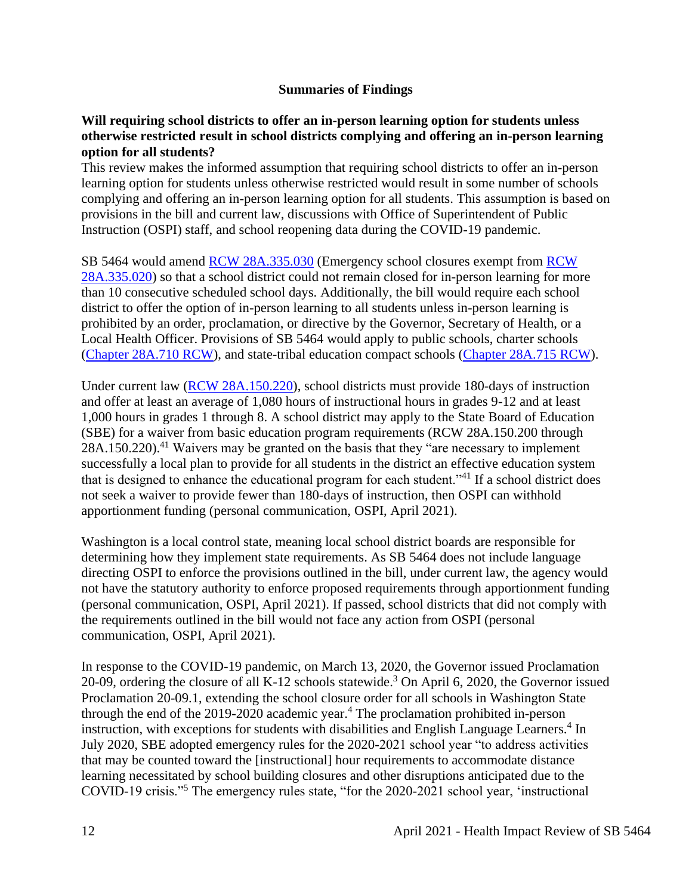#### **Summaries of Findings**

#### <span id="page-11-0"></span>**Will requiring school districts to offer an in-person learning option for students unless otherwise restricted result in school districts complying and offering an in-person learning option for all students?**

This review makes the informed assumption that requiring school districts to offer an in-person learning option for students unless otherwise restricted would result in some number of schools complying and offering an in-person learning option for all students. This assumption is based on provisions in the bill and current law, discussions with Office of Superintendent of Public Instruction (OSPI) staff, and school reopening data during the COVID-19 pandemic.

SB 5464 would amend [RCW 28A.335.030](https://app.leg.wa.gov/RCW/default.aspx?cite=28A.335.030) (Emergency school closures exempt from [RCW](https://app.leg.wa.gov/RCW/default.aspx?cite=28A.335.030)  [28A.335.020\)](https://app.leg.wa.gov/RCW/default.aspx?cite=28A.335.030) so that a school district could not remain closed for in-person learning for more than 10 consecutive scheduled school days. Additionally, the bill would require each school district to offer the option of in-person learning to all students unless in-person learning is prohibited by an order, proclamation, or directive by the Governor, Secretary of Health, or a Local Health Officer. Provisions of SB 5464 would apply to public schools, charter schools [\(Chapter 28A.710 RCW\)](https://app.leg.wa.gov/RCW/default.aspx?cite=28A.710&full=true), and state-tribal education compact schools [\(Chapter 28A.715 RCW\)](https://app.leg.wa.gov/rcw/default.aspx?cite=28a.715&full=true).

Under current law [\(RCW 28A.150.220\)](https://app.leg.wa.gov/rcw/default.aspx?cite=28A.150.220), school districts must provide 180-days of instruction and offer at least an average of 1,080 hours of instructional hours in grades 9-12 and at least 1,000 hours in grades 1 through 8. A school district may apply to the State Board of Education (SBE) for a waiver from basic education program requirements (RCW 28A.150.200 through 28A.150.220).<sup>41</sup> Waivers may be granted on the basis that they "are necessary to implement successfully a local plan to provide for all students in the district an effective education system that is designed to enhance the educational program for each student."<sup>41</sup> If a school district does not seek a waiver to provide fewer than 180-days of instruction, then OSPI can withhold apportionment funding (personal communication, OSPI, April 2021).

Washington is a local control state, meaning local school district boards are responsible for determining how they implement state requirements. As SB 5464 does not include language directing OSPI to enforce the provisions outlined in the bill, under current law, the agency would not have the statutory authority to enforce proposed requirements through apportionment funding (personal communication, OSPI, April 2021). If passed, school districts that did not comply with the requirements outlined in the bill would not face any action from OSPI (personal communication, OSPI, April 2021).

In response to the COVID-19 pandemic, on March 13, 2020, the Governor issued Proclamation 20-09, ordering the closure of all K-12 schools statewide.<sup>3</sup> On April 6, 2020, the Governor issued Proclamation 20-09.1, extending the school closure order for all schools in Washington State through the end of the  $2019-2020$  academic year.<sup>4</sup> The proclamation prohibited in-person instruction, with exceptions for students with disabilities and English Language Learners.<sup>4</sup> In July 2020, SBE adopted emergency rules for the 2020-2021 school year "to address activities that may be counted toward the [instructional] hour requirements to accommodate distance learning necessitated by school building closures and other disruptions anticipated due to the COVID-19 crisis."<sup>5</sup> The emergency rules state, "for the 2020-2021 school year, 'instructional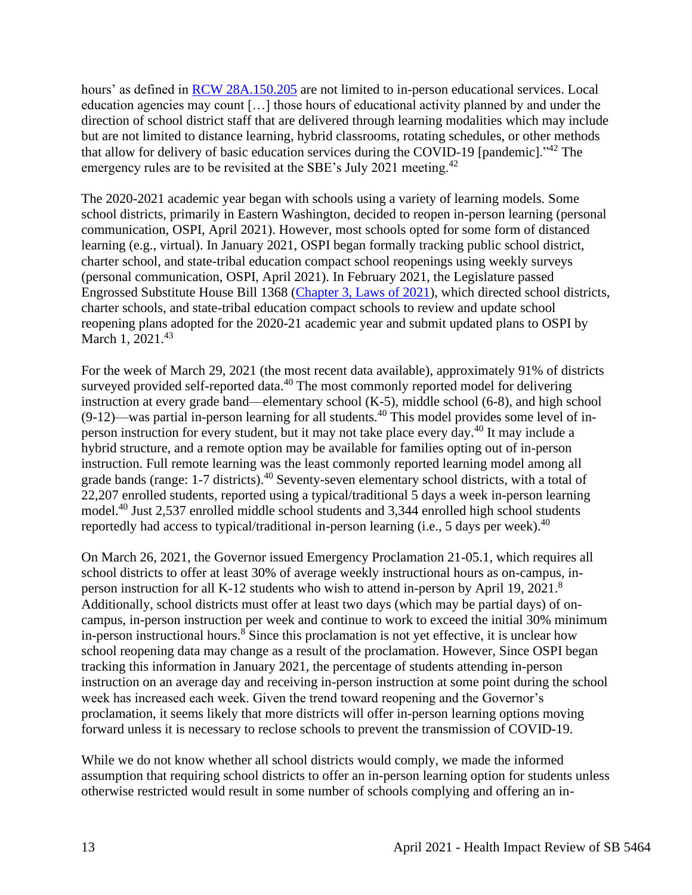hours' as defined in [RCW 28A.150.205](https://app.leg.wa.gov/RCW/default.aspx?cite=28A.150.205) are not limited to in-person educational services. Local education agencies may count […] those hours of educational activity planned by and under the direction of school district staff that are delivered through learning modalities which may include but are not limited to distance learning, hybrid classrooms, rotating schedules, or other methods that allow for delivery of basic education services during the COVID-19 [pandemic]."<sup>42</sup> The emergency rules are to be revisited at the SBE's July 2021 meeting.<sup>42</sup>

The 2020-2021 academic year began with schools using a variety of learning models. Some school districts, primarily in Eastern Washington, decided to reopen in-person learning (personal communication, OSPI, April 2021). However, most schools opted for some form of distanced learning (e.g., virtual). In January 2021, OSPI began formally tracking public school district, charter school, and state-tribal education compact school reopenings using weekly surveys (personal communication, OSPI, April 2021). In February 2021, the Legislature passed Engrossed Substitute House Bill 1368 [\(Chapter 3, Laws of 2021\)](http://lawfilesext.leg.wa.gov/biennium/2021-22/Pdf/Bills/Session%20Laws/House/1368-S.SL.pdf?q=20210407151047), which directed school districts, charter schools, and state-tribal education compact schools to review and update school reopening plans adopted for the 2020-21 academic year and submit updated plans to OSPI by March 1, 2021.<sup>43</sup>

For the week of March 29, 2021 (the most recent data available), approximately 91% of districts surveyed provided self-reported data.<sup>40</sup> The most commonly reported model for delivering instruction at every grade band—elementary school (K-5), middle school (6-8), and high school  $(9-12)$ —was partial in-person learning for all students.<sup>40</sup> This model provides some level of inperson instruction for every student, but it may not take place every day.<sup>40</sup> It may include a hybrid structure, and a remote option may be available for families opting out of in-person instruction. Full remote learning was the least commonly reported learning model among all grade bands (range: 1-7 districts).<sup>40</sup> Seventy-seven elementary school districts, with a total of 22,207 enrolled students, reported using a typical/traditional 5 days a week in-person learning model.<sup>40</sup> Just 2,537 enrolled middle school students and 3,344 enrolled high school students reportedly had access to typical/traditional in-person learning (i.e., 5 days per week).<sup>40</sup>

On March 26, 2021, the Governor issued Emergency Proclamation 21-05.1, which requires all school districts to offer at least 30% of average weekly instructional hours as on-campus, inperson instruction for all K-12 students who wish to attend in-person by April 19, 2021.<sup>8</sup> Additionally, school districts must offer at least two days (which may be partial days) of oncampus, in-person instruction per week and continue to work to exceed the initial 30% minimum in-person instructional hours.<sup>8</sup> Since this proclamation is not yet effective, it is unclear how school reopening data may change as a result of the proclamation. However, Since OSPI began tracking this information in January 2021, the percentage of students attending in-person instruction on an average day and receiving in-person instruction at some point during the school week has increased each week. Given the trend toward reopening and the Governor's proclamation, it seems likely that more districts will offer in-person learning options moving forward unless it is necessary to reclose schools to prevent the transmission of COVID-19.

While we do not know whether all school districts would comply, we made the informed assumption that requiring school districts to offer an in-person learning option for students unless otherwise restricted would result in some number of schools complying and offering an in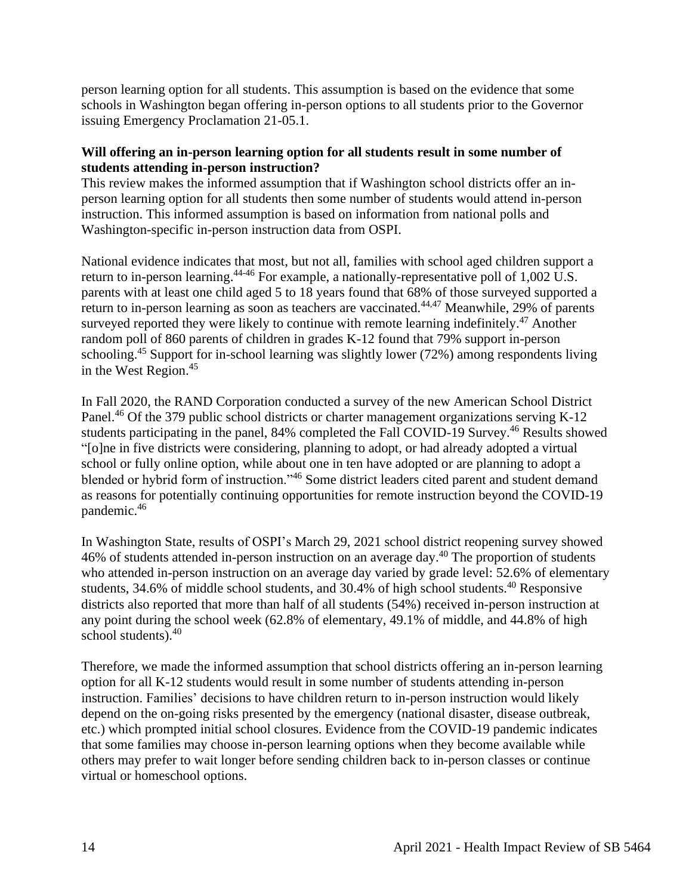person learning option for all students. This assumption is based on the evidence that some schools in Washington began offering in-person options to all students prior to the Governor issuing Emergency Proclamation 21-05.1.

#### **Will offering an in-person learning option for all students result in some number of students attending in-person instruction?**

This review makes the informed assumption that if Washington school districts offer an inperson learning option for all students then some number of students would attend in-person instruction. This informed assumption is based on information from national polls and Washington-specific in-person instruction data from OSPI.

National evidence indicates that most, but not all, families with school aged children support a return to in-person learning.<sup>44-46</sup> For example, a nationally-representative poll of 1,002 U.S. parents with at least one child aged 5 to 18 years found that 68% of those surveyed supported a return to in-person learning as soon as teachers are vaccinated.<sup>44,47</sup> Meanwhile, 29% of parents surveyed reported they were likely to continue with remote learning indefinitely.<sup>47</sup> Another random poll of 860 parents of children in grades K-12 found that 79% support in-person schooling.<sup>45</sup> Support for in-school learning was slightly lower (72%) among respondents living in the West Region. 45

In Fall 2020, the RAND Corporation conducted a survey of the new American School District Panel.<sup>46</sup> Of the 379 public school districts or charter management organizations serving K-12 students participating in the panel, 84% completed the Fall COVID-19 Survey.<sup>46</sup> Results showed "[o]ne in five districts were considering, planning to adopt, or had already adopted a virtual school or fully online option, while about one in ten have adopted or are planning to adopt a blended or hybrid form of instruction."<sup>46</sup> Some district leaders cited parent and student demand as reasons for potentially continuing opportunities for remote instruction beyond the COVID-19 pandemic.<sup>46</sup>

In Washington State, results of OSPI's March 29, 2021 school district reopening survey showed 46% of students attended in-person instruction on an average day.<sup>40</sup> The proportion of students who attended in-person instruction on an average day varied by grade level: 52.6% of elementary students, 34.6% of middle school students, and 30.4% of high school students.<sup>40</sup> Responsive districts also reported that more than half of all students (54%) received in-person instruction at any point during the school week (62.8% of elementary, 49.1% of middle, and 44.8% of high school students).<sup>40</sup>

Therefore, we made the informed assumption that school districts offering an in-person learning option for all K-12 students would result in some number of students attending in-person instruction. Families' decisions to have children return to in-person instruction would likely depend on the on-going risks presented by the emergency (national disaster, disease outbreak, etc.) which prompted initial school closures. Evidence from the COVID-19 pandemic indicates that some families may choose in-person learning options when they become available while others may prefer to wait longer before sending children back to in-person classes or continue virtual or homeschool options.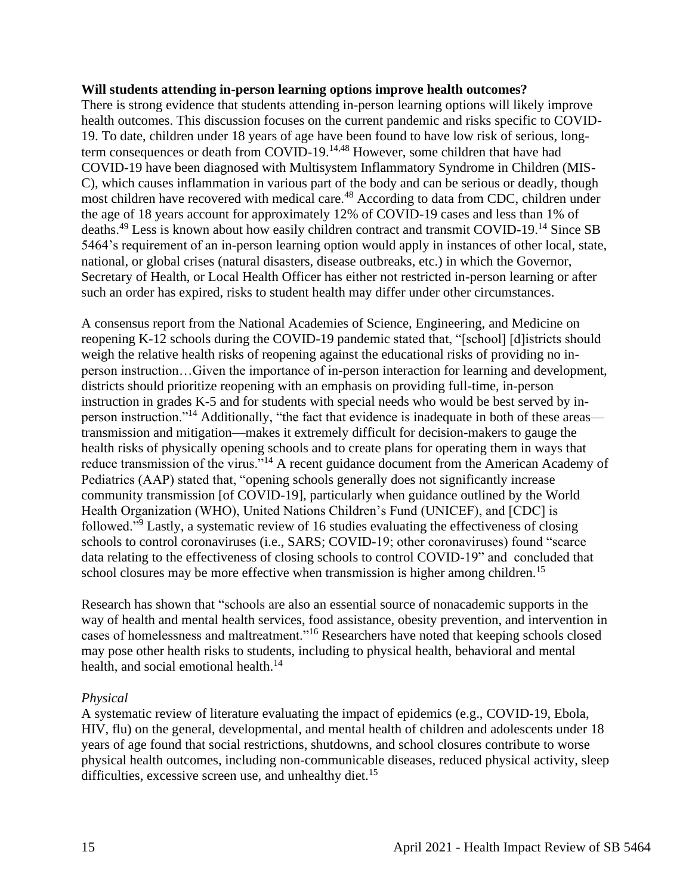#### **Will students attending in-person learning options improve health outcomes?**

There is strong evidence that students attending in-person learning options will likely improve health outcomes. This discussion focuses on the current pandemic and risks specific to COVID-19. To date, children under 18 years of age have been found to have low risk of serious, longterm consequences or death from COVID-19.14,48 However, some children that have had COVID-19 have been diagnosed with Multisystem Inflammatory Syndrome in Children (MIS-C), which causes inflammation in various part of the body and can be serious or deadly, though most children have recovered with medical care.<sup>48</sup> According to data from CDC, children under the age of 18 years account for approximately 12% of COVID-19 cases and less than 1% of deaths.<sup>49</sup> Less is known about how easily children contract and transmit COVID-19.<sup>14</sup> Since SB 5464's requirement of an in-person learning option would apply in instances of other local, state, national, or global crises (natural disasters, disease outbreaks, etc.) in which the Governor, Secretary of Health, or Local Health Officer has either not restricted in-person learning or after such an order has expired, risks to student health may differ under other circumstances.

A consensus report from the National Academies of Science, Engineering, and Medicine on reopening K-12 schools during the COVID-19 pandemic stated that, "[school] [d]istricts should weigh the relative health risks of reopening against the educational risks of providing no inperson instruction…Given the importance of in-person interaction for learning and development, districts should prioritize reopening with an emphasis on providing full-time, in-person instruction in grades K-5 and for students with special needs who would be best served by inperson instruction."<sup>14</sup> Additionally, "the fact that evidence is inadequate in both of these areas transmission and mitigation—makes it extremely difficult for decision-makers to gauge the health risks of physically opening schools and to create plans for operating them in ways that reduce transmission of the virus."<sup>14</sup> A recent guidance document from the American Academy of Pediatrics (AAP) stated that, "opening schools generally does not significantly increase community transmission [of COVID-19], particularly when guidance outlined by the World Health Organization (WHO), United Nations Children's Fund (UNICEF), and [CDC] is followed."<sup>9</sup> Lastly, a systematic review of 16 studies evaluating the effectiveness of closing schools to control coronaviruses (i.e., SARS; COVID-19; other coronaviruses) found "scarce data relating to the effectiveness of closing schools to control COVID-19" and concluded that school closures may be more effective when transmission is higher among children.<sup>15</sup>

Research has shown that "schools are also an essential source of nonacademic supports in the way of health and mental health services, food assistance, obesity prevention, and intervention in cases of homelessness and maltreatment."<sup>16</sup> Researchers have noted that keeping schools closed may pose other health risks to students, including to physical health, behavioral and mental health, and social emotional health.<sup>14</sup>

#### *Physical*

A systematic review of literature evaluating the impact of epidemics (e.g., COVID-19, Ebola, HIV, flu) on the general, developmental, and mental health of children and adolescents under 18 years of age found that social restrictions, shutdowns, and school closures contribute to worse physical health outcomes, including non-communicable diseases, reduced physical activity, sleep difficulties, excessive screen use, and unhealthy diet.<sup>15</sup>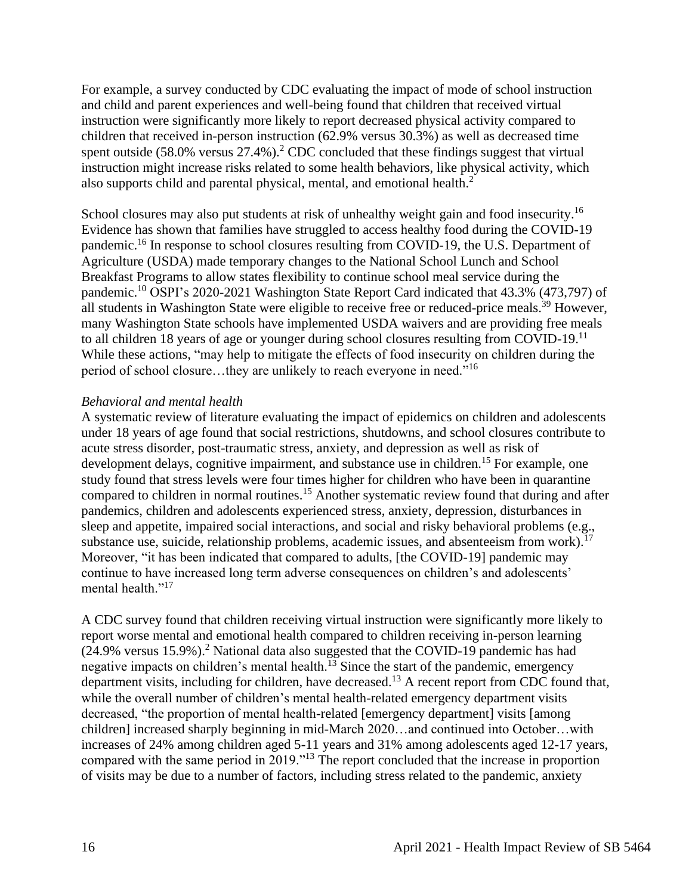For example, a survey conducted by CDC evaluating the impact of mode of school instruction and child and parent experiences and well-being found that children that received virtual instruction were significantly more likely to report decreased physical activity compared to children that received in-person instruction (62.9% versus 30.3%) as well as decreased time spent outside  $(58.0\% \text{ versus } 27.4\%)$ .<sup>2</sup> CDC concluded that these findings suggest that virtual instruction might increase risks related to some health behaviors, like physical activity, which also supports child and parental physical, mental, and emotional health.<sup>2</sup>

School closures may also put students at risk of unhealthy weight gain and food insecurity.<sup>16</sup> Evidence has shown that families have struggled to access healthy food during the COVID-19 pandemic.<sup>16</sup> In response to school closures resulting from COVID-19, the U.S. Department of Agriculture (USDA) made temporary changes to the National School Lunch and School Breakfast Programs to allow states flexibility to continue school meal service during the pandemic.<sup>10</sup> OSPI's 2020-2021 Washington State Report Card indicated that 43.3% (473,797) of all students in Washington State were eligible to receive free or reduced-price meals.<sup>39</sup> However, many Washington State schools have implemented USDA waivers and are providing free meals to all children 18 years of age or younger during school closures resulting from COVID-19.<sup>11</sup> While these actions, "may help to mitigate the effects of food insecurity on children during the period of school closure…they are unlikely to reach everyone in need."<sup>16</sup>

#### *Behavioral and mental health*

A systematic review of literature evaluating the impact of epidemics on children and adolescents under 18 years of age found that social restrictions, shutdowns, and school closures contribute to acute stress disorder, post-traumatic stress, anxiety, and depression as well as risk of development delays, cognitive impairment, and substance use in children.<sup>15</sup> For example, one study found that stress levels were four times higher for children who have been in quarantine compared to children in normal routines.<sup>15</sup> Another systematic review found that during and after pandemics, children and adolescents experienced stress, anxiety, depression, disturbances in sleep and appetite, impaired social interactions, and social and risky behavioral problems (e.g., substance use, suicide, relationship problems, academic issues, and absenteeism from work).<sup>17</sup> Moreover, "it has been indicated that compared to adults, [the COVID-19] pandemic may continue to have increased long term adverse consequences on children's and adolescents' mental health."<sup>17</sup>

A CDC survey found that children receiving virtual instruction were significantly more likely to report worse mental and emotional health compared to children receiving in-person learning  $(24.9\%$  versus 15.9%).<sup>2</sup> National data also suggested that the COVID-19 pandemic has had negative impacts on children's mental health. $^{13}$  Since the start of the pandemic, emergency department visits, including for children, have decreased.<sup>13</sup> A recent report from CDC found that, while the overall number of children's mental health-related emergency department visits decreased, "the proportion of mental health-related [emergency department] visits [among children] increased sharply beginning in mid-March 2020…and continued into October…with increases of 24% among children aged 5-11 years and 31% among adolescents aged 12-17 years, compared with the same period in 2019."<sup>13</sup> The report concluded that the increase in proportion of visits may be due to a number of factors, including stress related to the pandemic, anxiety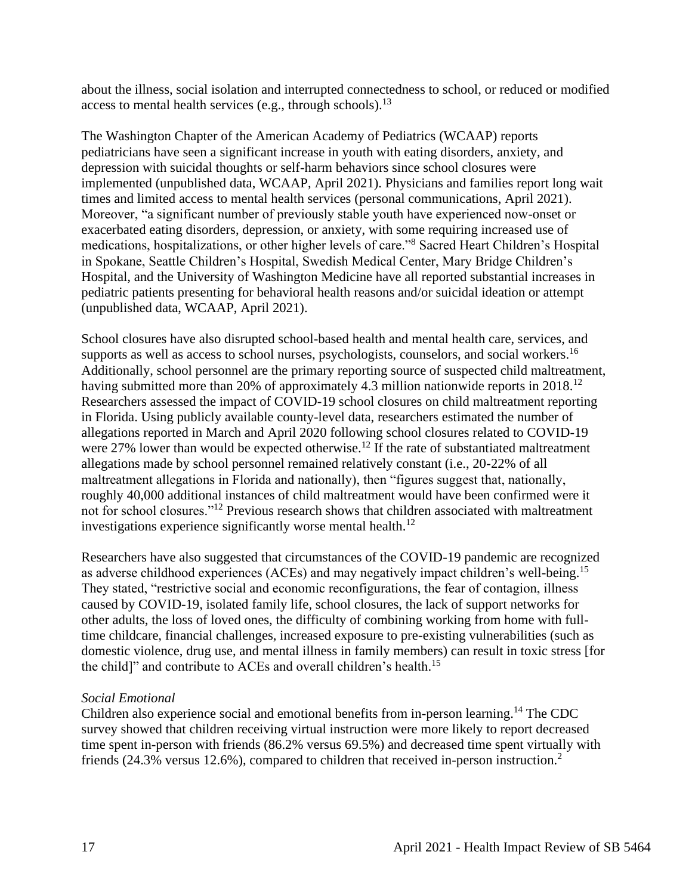about the illness, social isolation and interrupted connectedness to school, or reduced or modified access to mental health services (e.g., through schools).<sup>13</sup>

The Washington Chapter of the American Academy of Pediatrics (WCAAP) reports pediatricians have seen a significant increase in youth with eating disorders, anxiety, and depression with suicidal thoughts or self-harm behaviors since school closures were implemented (unpublished data, WCAAP, April 2021). Physicians and families report long wait times and limited access to mental health services (personal communications, April 2021). Moreover, "a significant number of previously stable youth have experienced now-onset or exacerbated eating disorders, depression, or anxiety, with some requiring increased use of medications, hospitalizations, or other higher levels of care."<sup>8</sup> Sacred Heart Children's Hospital in Spokane, Seattle Children's Hospital, Swedish Medical Center, Mary Bridge Children's Hospital, and the University of Washington Medicine have all reported substantial increases in pediatric patients presenting for behavioral health reasons and/or suicidal ideation or attempt (unpublished data, WCAAP, April 2021).

School closures have also disrupted school-based health and mental health care, services, and supports as well as access to school nurses, psychologists, counselors, and social workers.<sup>16</sup> Additionally, school personnel are the primary reporting source of suspected child maltreatment, having submitted more than 20% of approximately 4.3 million nationwide reports in 2018.<sup>12</sup> Researchers assessed the impact of COVID-19 school closures on child maltreatment reporting in Florida. Using publicly available county-level data, researchers estimated the number of allegations reported in March and April 2020 following school closures related to COVID-19 were 27% lower than would be expected otherwise.<sup>12</sup> If the rate of substantiated maltreatment allegations made by school personnel remained relatively constant (i.e., 20-22% of all maltreatment allegations in Florida and nationally), then "figures suggest that, nationally, roughly 40,000 additional instances of child maltreatment would have been confirmed were it not for school closures."<sup>12</sup> Previous research shows that children associated with maltreatment investigations experience significantly worse mental health.<sup>12</sup>

Researchers have also suggested that circumstances of the COVID-19 pandemic are recognized as adverse childhood experiences (ACEs) and may negatively impact children's well-being.<sup>15</sup> They stated, "restrictive social and economic reconfigurations, the fear of contagion, illness caused by COVID-19, isolated family life, school closures, the lack of support networks for other adults, the loss of loved ones, the difficulty of combining working from home with fulltime childcare, financial challenges, increased exposure to pre-existing vulnerabilities (such as domestic violence, drug use, and mental illness in family members) can result in toxic stress [for the child]" and contribute to ACEs and overall children's health.<sup>15</sup>

#### *Social Emotional*

Children also experience social and emotional benefits from in-person learning.<sup>14</sup> The CDC survey showed that children receiving virtual instruction were more likely to report decreased time spent in-person with friends (86.2% versus 69.5%) and decreased time spent virtually with friends (24.3% versus 12.6%), compared to children that received in-person instruction.<sup>2</sup>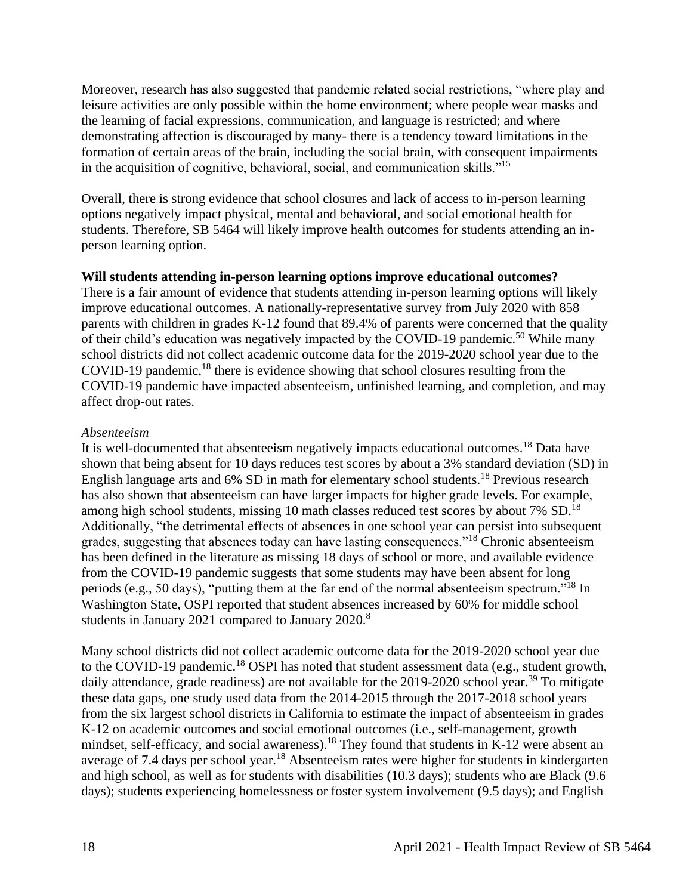Moreover, research has also suggested that pandemic related social restrictions, "where play and leisure activities are only possible within the home environment; where people wear masks and the learning of facial expressions, communication, and language is restricted; and where demonstrating affection is discouraged by many- there is a tendency toward limitations in the formation of certain areas of the brain, including the social brain, with consequent impairments in the acquisition of cognitive, behavioral, social, and communication skills."<sup>15</sup>

Overall, there is strong evidence that school closures and lack of access to in-person learning options negatively impact physical, mental and behavioral, and social emotional health for students. Therefore, SB 5464 will likely improve health outcomes for students attending an inperson learning option.

#### **Will students attending in-person learning options improve educational outcomes?**

There is a fair amount of evidence that students attending in-person learning options will likely improve educational outcomes. A nationally-representative survey from July 2020 with 858 parents with children in grades K-12 found that 89.4% of parents were concerned that the quality of their child's education was negatively impacted by the COVID-19 pandemic.<sup>50</sup> While many school districts did not collect academic outcome data for the 2019-2020 school year due to the COVID-19 pandemic, $18$  there is evidence showing that school closures resulting from the COVID-19 pandemic have impacted absenteeism, unfinished learning, and completion, and may affect drop-out rates.

#### *Absenteeism*

It is well-documented that absenteeism negatively impacts educational outcomes.<sup>18</sup> Data have shown that being absent for 10 days reduces test scores by about a 3% standard deviation (SD) in English language arts and 6% SD in math for elementary school students.<sup>18</sup> Previous research has also shown that absenteeism can have larger impacts for higher grade levels. For example, among high school students, missing 10 math classes reduced test scores by about 7% SD.<sup>18</sup> Additionally, "the detrimental effects of absences in one school year can persist into subsequent grades, suggesting that absences today can have lasting consequences."<sup>18</sup> Chronic absenteeism has been defined in the literature as missing 18 days of school or more, and available evidence from the COVID-19 pandemic suggests that some students may have been absent for long periods (e.g., 50 days), "putting them at the far end of the normal absenteeism spectrum."<sup>18</sup> In Washington State, OSPI reported that student absences increased by 60% for middle school students in January 2021 compared to January 2020.<sup>8</sup>

Many school districts did not collect academic outcome data for the 2019-2020 school year due to the COVID-19 pandemic.<sup>18</sup> OSPI has noted that student assessment data (e.g., student growth, daily attendance, grade readiness) are not available for the  $2019-2020$  school year.<sup>39</sup> To mitigate these data gaps, one study used data from the 2014-2015 through the 2017-2018 school years from the six largest school districts in California to estimate the impact of absenteeism in grades K-12 on academic outcomes and social emotional outcomes (i.e., self-management, growth mindset, self-efficacy, and social awareness).<sup>18</sup> They found that students in K-12 were absent an average of 7.4 days per school year.<sup>18</sup> Absenteeism rates were higher for students in kindergarten and high school, as well as for students with disabilities (10.3 days); students who are Black (9.6 days); students experiencing homelessness or foster system involvement (9.5 days); and English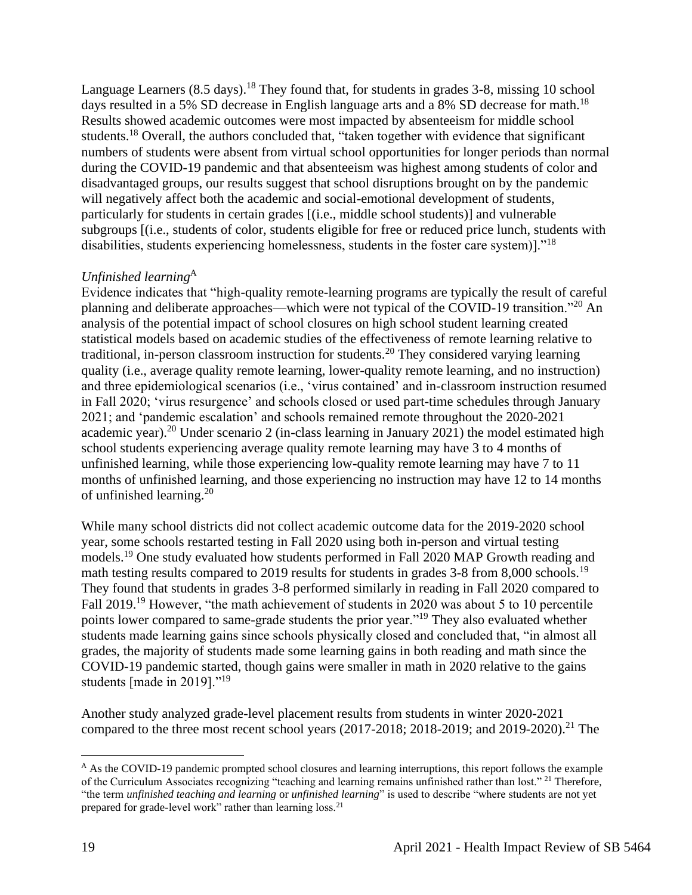Language Learners  $(8.5 \text{ days})$ .<sup>18</sup> They found that, for students in grades 3-8, missing 10 school days resulted in a 5% SD decrease in English language arts and a 8% SD decrease for math.<sup>18</sup> Results showed academic outcomes were most impacted by absenteeism for middle school students.<sup>18</sup> Overall, the authors concluded that, "taken together with evidence that significant numbers of students were absent from virtual school opportunities for longer periods than normal during the COVID-19 pandemic and that absenteeism was highest among students of color and disadvantaged groups, our results suggest that school disruptions brought on by the pandemic will negatively affect both the academic and social-emotional development of students, particularly for students in certain grades [(i.e., middle school students)] and vulnerable subgroups [(i.e., students of color, students eligible for free or reduced price lunch, students with disabilities, students experiencing homelessness, students in the foster care system)]."<sup>18</sup>

## *Unfinished learning*<sup>A</sup>

Evidence indicates that "high-quality remote-learning programs are typically the result of careful planning and deliberate approaches—which were not typical of the COVID-19 transition."<sup>20</sup> An analysis of the potential impact of school closures on high school student learning created statistical models based on academic studies of the effectiveness of remote learning relative to traditional, in-person classroom instruction for students.<sup>20</sup> They considered varying learning quality (i.e., average quality remote learning, lower-quality remote learning, and no instruction) and three epidemiological scenarios (i.e., 'virus contained' and in-classroom instruction resumed in Fall 2020; 'virus resurgence' and schools closed or used part-time schedules through January 2021; and 'pandemic escalation' and schools remained remote throughout the 2020-2021 academic year).<sup>20</sup> Under scenario 2 (in-class learning in January 2021) the model estimated high school students experiencing average quality remote learning may have 3 to 4 months of unfinished learning, while those experiencing low-quality remote learning may have 7 to 11 months of unfinished learning, and those experiencing no instruction may have 12 to 14 months of unfinished learning.<sup>20</sup>

While many school districts did not collect academic outcome data for the 2019-2020 school year, some schools restarted testing in Fall 2020 using both in-person and virtual testing models.<sup>19</sup> One study evaluated how students performed in Fall 2020 MAP Growth reading and math testing results compared to 2019 results for students in grades 3-8 from 8,000 schools.<sup>19</sup> They found that students in grades 3-8 performed similarly in reading in Fall 2020 compared to Fall 2019.<sup>19</sup> However, "the math achievement of students in 2020 was about 5 to 10 percentile points lower compared to same-grade students the prior year."<sup>19</sup> They also evaluated whether students made learning gains since schools physically closed and concluded that, "in almost all grades, the majority of students made some learning gains in both reading and math since the COVID-19 pandemic started, though gains were smaller in math in 2020 relative to the gains students [made in 2019]."<sup>19</sup>

Another study analyzed grade-level placement results from students in winter 2020-2021 compared to the three most recent school years  $(2017-2018; 2018-2019;$  and  $2019-2020)$ .<sup>21</sup> The

 $A$  As the COVID-19 pandemic prompted school closures and learning interruptions, this report follows the example of the Curriculum Associates recognizing "teaching and learning remains unfinished rather than lost." <sup>21</sup> Therefore, "the term *unfinished teaching and learning* or *unfinished learning*" is used to describe "where students are not yet prepared for grade-level work" rather than learning loss.<sup>21</sup>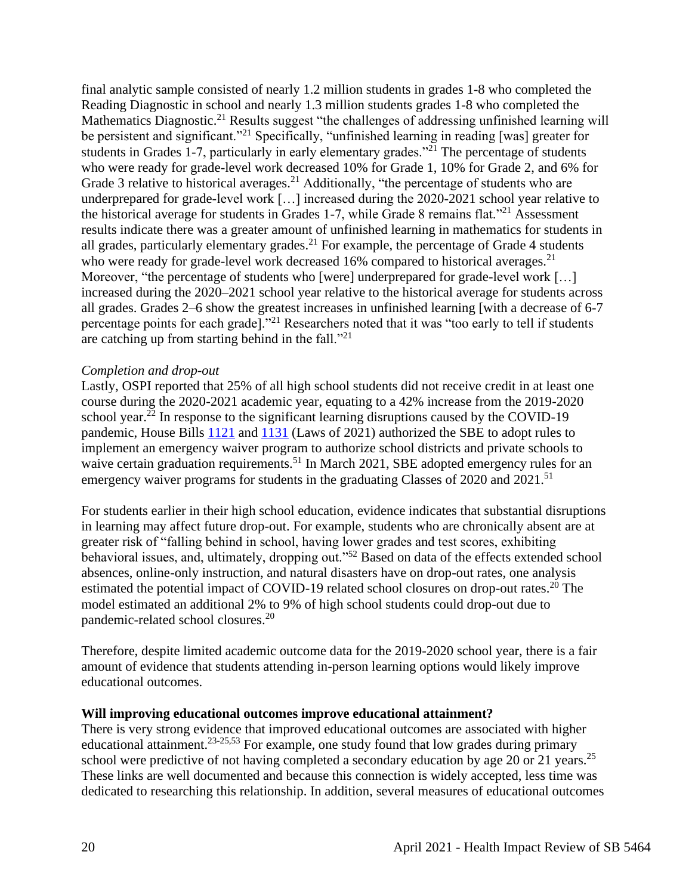final analytic sample consisted of nearly 1.2 million students in grades 1-8 who completed the Reading Diagnostic in school and nearly 1.3 million students grades 1-8 who completed the Mathematics Diagnostic.<sup>21</sup> Results suggest "the challenges of addressing unfinished learning will be persistent and significant."<sup>21</sup> Specifically, "unfinished learning in reading [was] greater for students in Grades 1-7, particularly in early elementary grades."<sup>21</sup> The percentage of students who were ready for grade-level work decreased 10% for Grade 1, 10% for Grade 2, and 6% for Grade 3 relative to historical averages.<sup>21</sup> Additionally, "the percentage of students who are underprepared for grade-level work [...] increased during the 2020-2021 school year relative to the historical average for students in Grades 1-7, while Grade 8 remains flat."<sup>21</sup> Assessment results indicate there was a greater amount of unfinished learning in mathematics for students in all grades, particularly elementary grades.<sup>21</sup> For example, the percentage of Grade 4 students who were ready for grade-level work decreased  $16\%$  compared to historical averages.<sup>21</sup> Moreover, "the percentage of students who [were] underprepared for grade-level work [...] increased during the 2020–2021 school year relative to the historical average for students across all grades. Grades 2–6 show the greatest increases in unfinished learning [with a decrease of 6-7 percentage points for each grade]."<sup>21</sup> Researchers noted that it was "too early to tell if students are catching up from starting behind in the fall. $"^{21}$ 

#### *Completion and drop-out*

Lastly, OSPI reported that 25% of all high school students did not receive credit in at least one course during the 2020-2021 academic year, equating to a 42% increase from the 2019-2020 school year.<sup>22</sup> In response to the significant learning disruptions caused by the COVID-19 pandemic, House Bills [1121](https://app.leg.wa.gov/billsummary?BillNumber=1121&Year=2021&Initiative=false) and [1131](https://app.leg.wa.gov/billsummary?BillNumber=1131&Initiative=false&Year=2021) (Laws of 2021) authorized the SBE to adopt rules to implement an emergency waiver program to authorize school districts and private schools to waive certain graduation requirements.<sup>51</sup> In March 2021, SBE adopted emergency rules for an emergency waiver programs for students in the graduating Classes of 2020 and 2021.<sup>51</sup>

For students earlier in their high school education, evidence indicates that substantial disruptions in learning may affect future drop-out. For example, students who are chronically absent are at greater risk of "falling behind in school, having lower grades and test scores, exhibiting behavioral issues, and, ultimately, dropping out."<sup>52</sup> Based on data of the effects extended school absences, online-only instruction, and natural disasters have on drop-out rates, one analysis estimated the potential impact of COVID-19 related school closures on drop-out rates.<sup>20</sup> The model estimated an additional 2% to 9% of high school students could drop-out due to pandemic-related school closures.<sup>20</sup>

Therefore, despite limited academic outcome data for the 2019-2020 school year, there is a fair amount of evidence that students attending in-person learning options would likely improve educational outcomes.

#### **Will improving educational outcomes improve educational attainment?**

There is very strong evidence that improved educational outcomes are associated with higher educational attainment.<sup>23-25,53</sup> For example, one study found that low grades during primary school were predictive of not having completed a secondary education by age 20 or 21 years.<sup>25</sup> These links are well documented and because this connection is widely accepted, less time was dedicated to researching this relationship. In addition, several measures of educational outcomes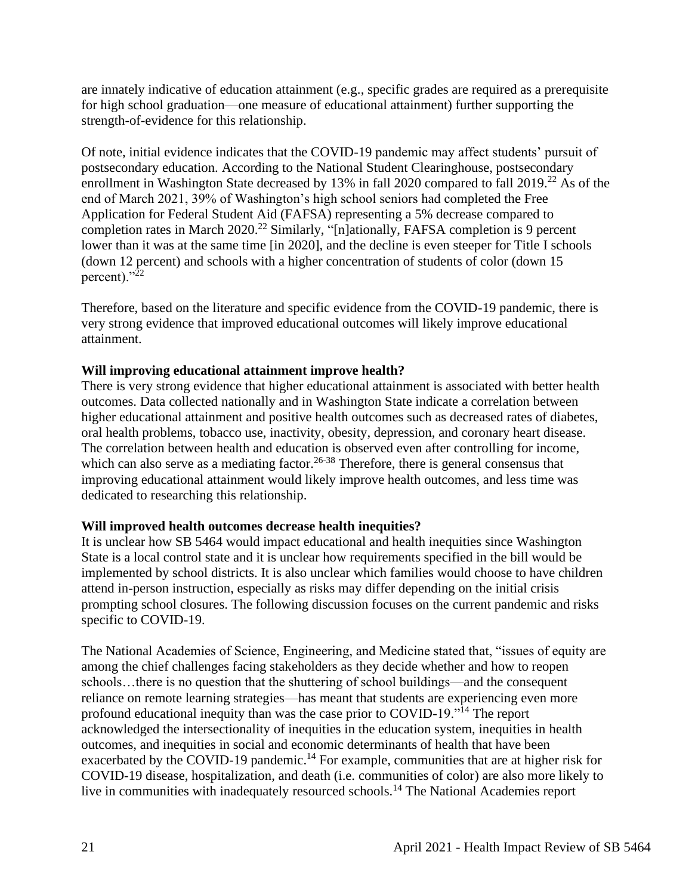are innately indicative of education attainment (e.g., specific grades are required as a prerequisite for high school graduation—one measure of educational attainment) further supporting the strength-of-evidence for this relationship.

Of note, initial evidence indicates that the COVID-19 pandemic may affect students' pursuit of postsecondary education. According to the National Student Clearinghouse, postsecondary enrollment in Washington State decreased by 13% in fall 2020 compared to fall 2019.<sup>22</sup> As of the end of March 2021, 39% of Washington's high school seniors had completed the Free Application for Federal Student Aid (FAFSA) representing a 5% decrease compared to completion rates in March 2020.<sup>22</sup> Similarly, "[n]ationally, FAFSA completion is 9 percent lower than it was at the same time [in 2020], and the decline is even steeper for Title I schools (down 12 percent) and schools with a higher concentration of students of color (down 15 percent)."<sup>22</sup>

Therefore, based on the literature and specific evidence from the COVID-19 pandemic, there is very strong evidence that improved educational outcomes will likely improve educational attainment.

## **Will improving educational attainment improve health?**

There is very strong evidence that higher educational attainment is associated with better health outcomes. Data collected nationally and in Washington State indicate a correlation between higher educational attainment and positive health outcomes such as decreased rates of diabetes, oral health problems, tobacco use, inactivity, obesity, depression, and coronary heart disease. The correlation between health and education is observed even after controlling for income, which can also serve as a mediating factor.<sup>26-38</sup> Therefore, there is general consensus that improving educational attainment would likely improve health outcomes, and less time was dedicated to researching this relationship.

## **Will improved health outcomes decrease health inequities?**

It is unclear how SB 5464 would impact educational and health inequities since Washington State is a local control state and it is unclear how requirements specified in the bill would be implemented by school districts. It is also unclear which families would choose to have children attend in-person instruction, especially as risks may differ depending on the initial crisis prompting school closures. The following discussion focuses on the current pandemic and risks specific to COVID-19.

The National Academies of Science, Engineering, and Medicine stated that, "issues of equity are among the chief challenges facing stakeholders as they decide whether and how to reopen schools…there is no question that the shuttering of school buildings—and the consequent reliance on remote learning strategies—has meant that students are experiencing even more profound educational inequity than was the case prior to COVID-19."<sup>14</sup> The report acknowledged the intersectionality of inequities in the education system, inequities in health outcomes, and inequities in social and economic determinants of health that have been exacerbated by the COVID-19 pandemic.<sup>14</sup> For example, communities that are at higher risk for COVID-19 disease, hospitalization, and death (i.e. communities of color) are also more likely to live in communities with inadequately resourced schools.<sup>14</sup> The National Academies report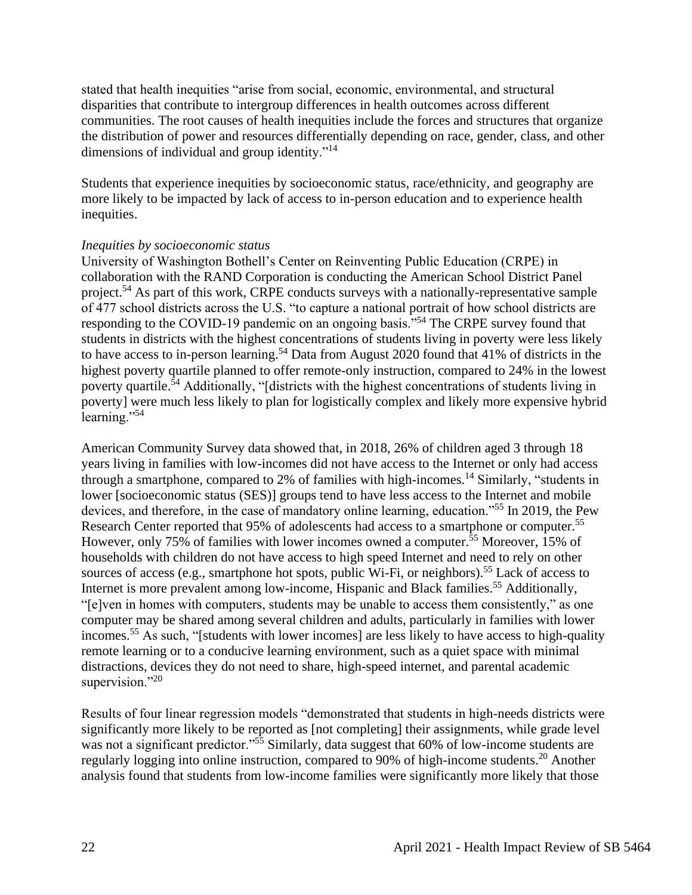stated that health inequities "arise from social, economic, environmental, and structural disparities that contribute to intergroup differences in health outcomes across different communities. The root causes of health inequities include the forces and structures that organize the distribution of power and resources differentially depending on race, gender, class, and other dimensions of individual and group identity."<sup>14</sup>

Students that experience inequities by socioeconomic status, race/ethnicity, and geography are more likely to be impacted by lack of access to in-person education and to experience health inequities.

#### *Inequities by socioeconomic status*

University of Washington Bothell's Center on Reinventing Public Education (CRPE) in collaboration with the RAND Corporation is conducting the American School District Panel project.<sup>54</sup> As part of this work, CRPE conducts surveys with a nationally-representative sample of 477 school districts across the U.S. "to capture a national portrait of how school districts are responding to the COVID-19 pandemic on an ongoing basis."<sup>54</sup> The CRPE survey found that students in districts with the highest concentrations of students living in poverty were less likely to have access to in-person learning.<sup>54</sup> Data from August 2020 found that 41% of districts in the highest poverty quartile planned to offer remote-only instruction, compared to 24% in the lowest poverty quartile.<sup> $\bar{5}4$ </sup> Additionally, "[districts with the highest concentrations of students living in poverty] were much less likely to plan for logistically complex and likely more expensive hybrid learning."<sup>54</sup>

American Community Survey data showed that, in 2018, 26% of children aged 3 through 18 years living in families with low-incomes did not have access to the Internet or only had access through a smartphone, compared to 2% of families with high-incomes.<sup>14</sup> Similarly, "students in lower [socioeconomic status (SES)] groups tend to have less access to the Internet and mobile devices, and therefore, in the case of mandatory online learning, education."<sup>55</sup> In 2019, the Pew Research Center reported that 95% of adolescents had access to a smartphone or computer.<sup>55</sup> However, only 75% of families with lower incomes owned a computer.<sup>55</sup> Moreover, 15% of households with children do not have access to high speed Internet and need to rely on other sources of access (e.g., smartphone hot spots, public Wi-Fi, or neighbors).<sup>55</sup> Lack of access to Internet is more prevalent among low-income, Hispanic and Black families.<sup>55</sup> Additionally, "[e]ven in homes with computers, students may be unable to access them consistently," as one computer may be shared among several children and adults, particularly in families with lower incomes.<sup>55</sup> As such, "[students with lower incomes] are less likely to have access to high-quality remote learning or to a conducive learning environment, such as a quiet space with minimal distractions, devices they do not need to share, high-speed internet, and parental academic supervision."20

Results of four linear regression models "demonstrated that students in high-needs districts were significantly more likely to be reported as [not completing] their assignments, while grade level was not a significant predictor."<sup>55</sup> Similarly, data suggest that 60% of low-income students are regularly logging into online instruction, compared to 90% of high-income students.<sup>20</sup> Another analysis found that students from low-income families were significantly more likely that those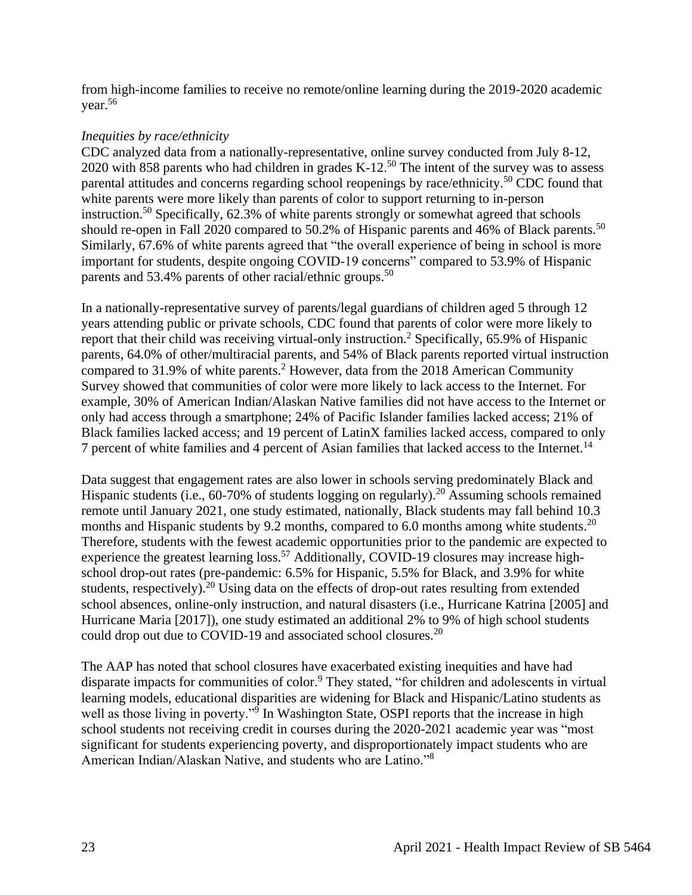from high-income families to receive no remote/online learning during the 2019-2020 academic year.<sup>56</sup>

## *Inequities by race/ethnicity*

CDC analyzed data from a nationally-representative, online survey conducted from July 8-12, 2020 with 858 parents who had children in grades K-12.<sup>50</sup> The intent of the survey was to assess parental attitudes and concerns regarding school reopenings by race/ethnicity.<sup>50</sup> CDC found that white parents were more likely than parents of color to support returning to in-person instruction.<sup>50</sup> Specifically,  $62.3\%$  of white parents strongly or somewhat agreed that schools should re-open in Fall 2020 compared to 50.2% of Hispanic parents and 46% of Black parents.<sup>50</sup> Similarly, 67.6% of white parents agreed that "the overall experience of being in school is more important for students, despite ongoing COVID-19 concerns" compared to 53.9% of Hispanic parents and 53.4% parents of other racial/ethnic groups.<sup>50</sup>

In a nationally-representative survey of parents/legal guardians of children aged 5 through 12 years attending public or private schools, CDC found that parents of color were more likely to report that their child was receiving virtual-only instruction.<sup>2</sup> Specifically,  $65.9\%$  of Hispanic parents, 64.0% of other/multiracial parents, and 54% of Black parents reported virtual instruction compared to 31.9% of white parents.<sup>2</sup> However, data from the 2018 American Community Survey showed that communities of color were more likely to lack access to the Internet. For example, 30% of American Indian/Alaskan Native families did not have access to the Internet or only had access through a smartphone; 24% of Pacific Islander families lacked access; 21% of Black families lacked access; and 19 percent of LatinX families lacked access, compared to only 7 percent of white families and 4 percent of Asian families that lacked access to the Internet.<sup>14</sup>

Data suggest that engagement rates are also lower in schools serving predominately Black and Hispanic students (i.e., 60-70% of students logging on regularly).<sup>20</sup> Assuming schools remained remote until January 2021, one study estimated, nationally, Black students may fall behind 10.3 months and Hispanic students by 9.2 months, compared to 6.0 months among white students.<sup>20</sup> Therefore, students with the fewest academic opportunities prior to the pandemic are expected to experience the greatest learning loss.<sup>57</sup> Additionally, COVID-19 closures may increase highschool drop-out rates (pre-pandemic: 6.5% for Hispanic, 5.5% for Black, and 3.9% for white students, respectively).<sup>20</sup> Using data on the effects of drop-out rates resulting from extended school absences, online-only instruction, and natural disasters (i.e., Hurricane Katrina [2005] and Hurricane Maria [2017]), one study estimated an additional 2% to 9% of high school students could drop out due to COVID-19 and associated school closures.<sup>20</sup>

The AAP has noted that school closures have exacerbated existing inequities and have had disparate impacts for communities of color.<sup>9</sup> They stated, "for children and adolescents in virtual learning models, educational disparities are widening for Black and Hispanic/Latino students as well as those living in poverty."<sup>9</sup> In Washington State, OSPI reports that the increase in high school students not receiving credit in courses during the 2020-2021 academic year was "most significant for students experiencing poverty, and disproportionately impact students who are American Indian/Alaskan Native, and students who are Latino."<sup>8</sup>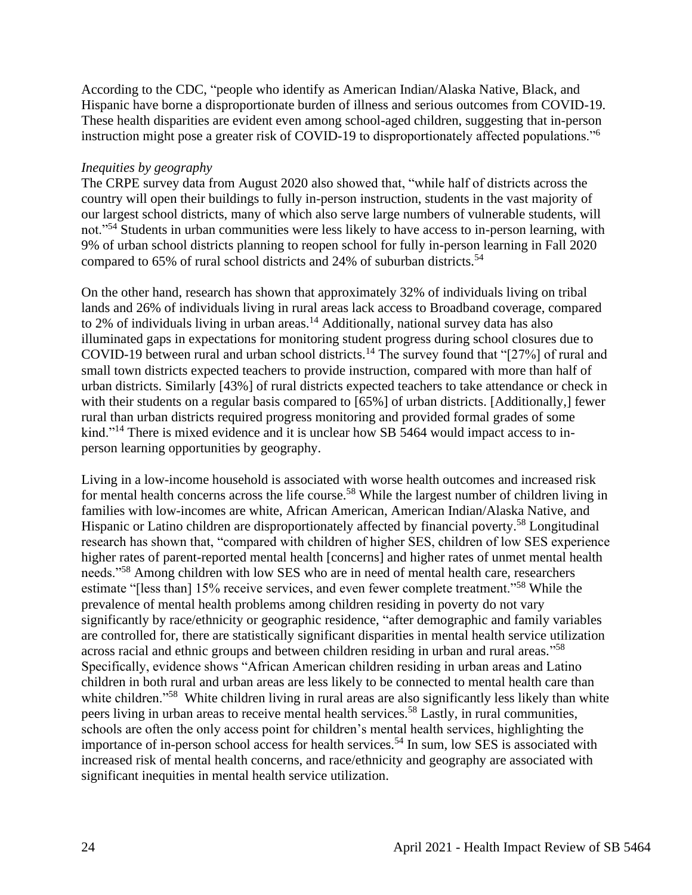According to the CDC, "people who identify as American Indian/Alaska Native, Black, and Hispanic have borne a disproportionate burden of illness and serious outcomes from COVID-19. These health disparities are evident even among school-aged children, suggesting that in-person instruction might pose a greater risk of COVID-19 to disproportionately affected populations."<sup>6</sup>

#### *Inequities by geography*

The CRPE survey data from August 2020 also showed that, "while half of districts across the country will open their buildings to fully in-person instruction, students in the vast majority of our largest school districts, many of which also serve large numbers of vulnerable students, will not."<sup>54</sup> Students in urban communities were less likely to have access to in-person learning, with 9% of urban school districts planning to reopen school for fully in-person learning in Fall 2020 compared to 65% of rural school districts and 24% of suburban districts.<sup>54</sup>

On the other hand, research has shown that approximately 32% of individuals living on tribal lands and 26% of individuals living in rural areas lack access to Broadband coverage, compared to 2% of individuals living in urban areas.<sup>14</sup> Additionally, national survey data has also illuminated gaps in expectations for monitoring student progress during school closures due to COVID-19 between rural and urban school districts.<sup>14</sup> The survey found that "[27%] of rural and small town districts expected teachers to provide instruction, compared with more than half of urban districts. Similarly [43%] of rural districts expected teachers to take attendance or check in with their students on a regular basis compared to [65%] of urban districts. [Additionally,] fewer rural than urban districts required progress monitoring and provided formal grades of some kind."<sup>14</sup> There is mixed evidence and it is unclear how SB 5464 would impact access to inperson learning opportunities by geography.

Living in a low-income household is associated with worse health outcomes and increased risk for mental health concerns across the life course.<sup>58</sup> While the largest number of children living in families with low-incomes are white, African American, American Indian/Alaska Native, and Hispanic or Latino children are disproportionately affected by financial poverty.<sup>58</sup> Longitudinal research has shown that, "compared with children of higher SES, children of low SES experience higher rates of parent-reported mental health [concerns] and higher rates of unmet mental health needs."<sup>58</sup> Among children with low SES who are in need of mental health care, researchers estimate "[less than] 15% receive services, and even fewer complete treatment."<sup>58</sup> While the prevalence of mental health problems among children residing in poverty do not vary significantly by race/ethnicity or geographic residence, "after demographic and family variables are controlled for, there are statistically significant disparities in mental health service utilization across racial and ethnic groups and between children residing in urban and rural areas."<sup>58</sup> Specifically, evidence shows "African American children residing in urban areas and Latino children in both rural and urban areas are less likely to be connected to mental health care than white children."<sup>58</sup> White children living in rural areas are also significantly less likely than white peers living in urban areas to receive mental health services.<sup>58</sup> Lastly, in rural communities, schools are often the only access point for children's mental health services, highlighting the importance of in-person school access for health services.<sup>54</sup> In sum, low SES is associated with increased risk of mental health concerns, and race/ethnicity and geography are associated with significant inequities in mental health service utilization.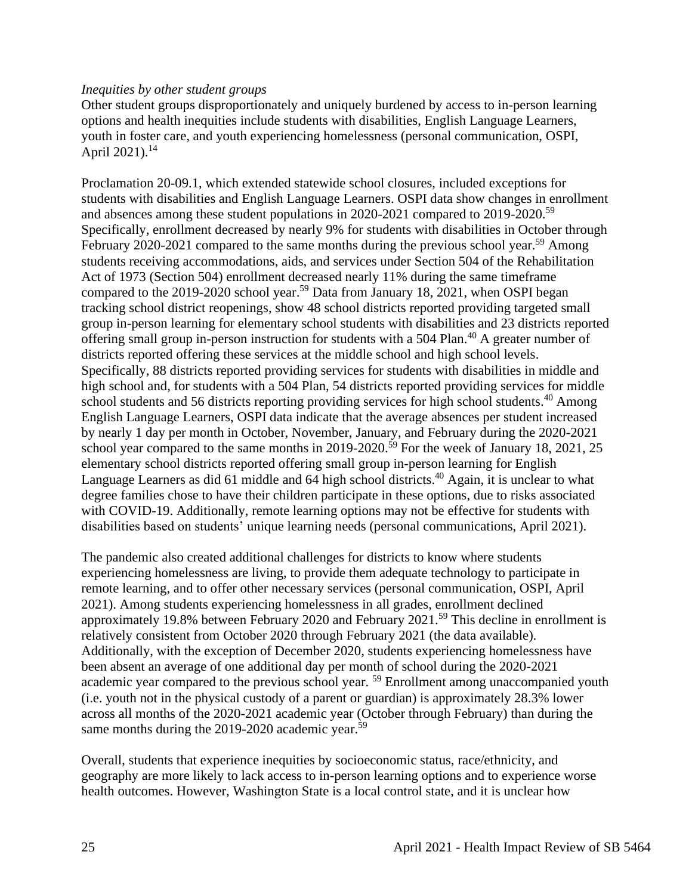#### *Inequities by other student groups*

Other student groups disproportionately and uniquely burdened by access to in-person learning options and health inequities include students with disabilities, English Language Learners, youth in foster care, and youth experiencing homelessness (personal communication, OSPI, April 2021).<sup>14</sup>

Proclamation 20-09.1, which extended statewide school closures, included exceptions for students with disabilities and English Language Learners. OSPI data show changes in enrollment and absences among these student populations in 2020-2021 compared to 2019-2020.<sup>59</sup> Specifically, enrollment decreased by nearly 9% for students with disabilities in October through February 2020-2021 compared to the same months during the previous school year.<sup>59</sup> Among students receiving accommodations, aids, and services under Section 504 of the Rehabilitation Act of 1973 (Section 504) enrollment decreased nearly 11% during the same timeframe compared to the 2019-2020 school year.<sup>59</sup> Data from January 18, 2021, when OSPI began tracking school district reopenings, show 48 school districts reported providing targeted small group in-person learning for elementary school students with disabilities and 23 districts reported offering small group in-person instruction for students with a 504 Plan.<sup>40</sup> A greater number of districts reported offering these services at the middle school and high school levels. Specifically, 88 districts reported providing services for students with disabilities in middle and high school and, for students with a 504 Plan, 54 districts reported providing services for middle school students and 56 districts reporting providing services for high school students.<sup>40</sup> Among English Language Learners, OSPI data indicate that the average absences per student increased by nearly 1 day per month in October, November, January, and February during the 2020-2021 school year compared to the same months in 2019-2020.<sup>59</sup> For the week of January 18, 2021, 25 elementary school districts reported offering small group in-person learning for English Language Learners as did 61 middle and 64 high school districts.<sup>40</sup> Again, it is unclear to what degree families chose to have their children participate in these options, due to risks associated with COVID-19. Additionally, remote learning options may not be effective for students with disabilities based on students' unique learning needs (personal communications, April 2021).

The pandemic also created additional challenges for districts to know where students experiencing homelessness are living, to provide them adequate technology to participate in remote learning, and to offer other necessary services (personal communication, OSPI, April 2021). Among students experiencing homelessness in all grades, enrollment declined approximately 19.8% between February 2020 and February 2021.<sup>59</sup> This decline in enrollment is relatively consistent from October 2020 through February 2021 (the data available). Additionally, with the exception of December 2020, students experiencing homelessness have been absent an average of one additional day per month of school during the 2020-2021 academic year compared to the previous school year. <sup>59</sup> Enrollment among unaccompanied youth (i.e. youth not in the physical custody of a parent or guardian) is approximately 28.3% lower across all months of the 2020-2021 academic year (October through February) than during the same months during the 2019-2020 academic year.<sup>59</sup>

Overall, students that experience inequities by socioeconomic status, race/ethnicity, and geography are more likely to lack access to in-person learning options and to experience worse health outcomes. However, Washington State is a local control state, and it is unclear how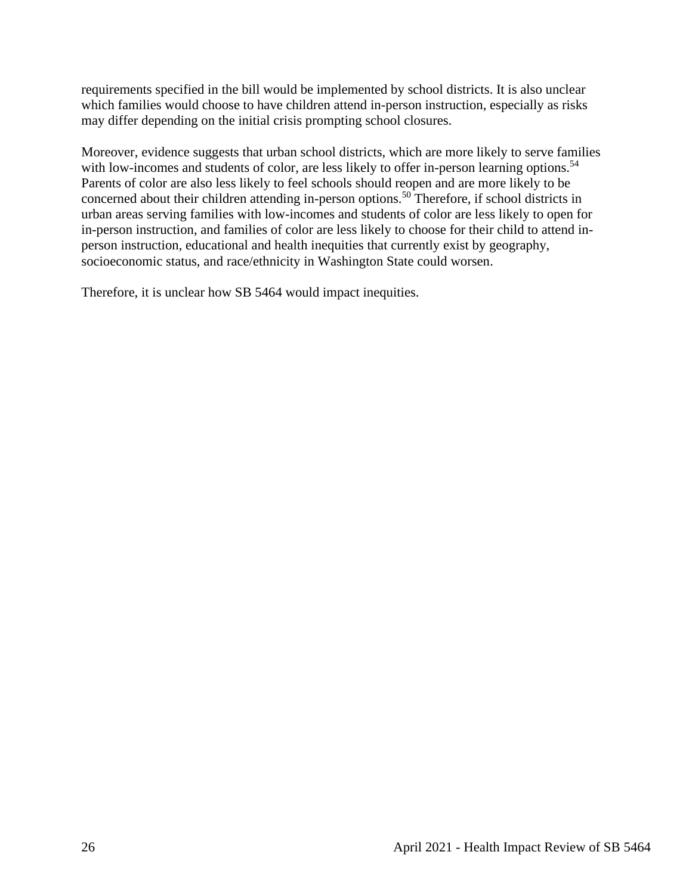requirements specified in the bill would be implemented by school districts. It is also unclear which families would choose to have children attend in-person instruction, especially as risks may differ depending on the initial crisis prompting school closures.

Moreover, evidence suggests that urban school districts, which are more likely to serve families with low-incomes and students of color, are less likely to offer in-person learning options.<sup>54</sup> Parents of color are also less likely to feel schools should reopen and are more likely to be concerned about their children attending in-person options.<sup>50</sup> Therefore, if school districts in urban areas serving families with low-incomes and students of color are less likely to open for in-person instruction, and families of color are less likely to choose for their child to attend inperson instruction, educational and health inequities that currently exist by geography, socioeconomic status, and race/ethnicity in Washington State could worsen.

<span id="page-25-0"></span>Therefore, it is unclear how SB 5464 would impact inequities.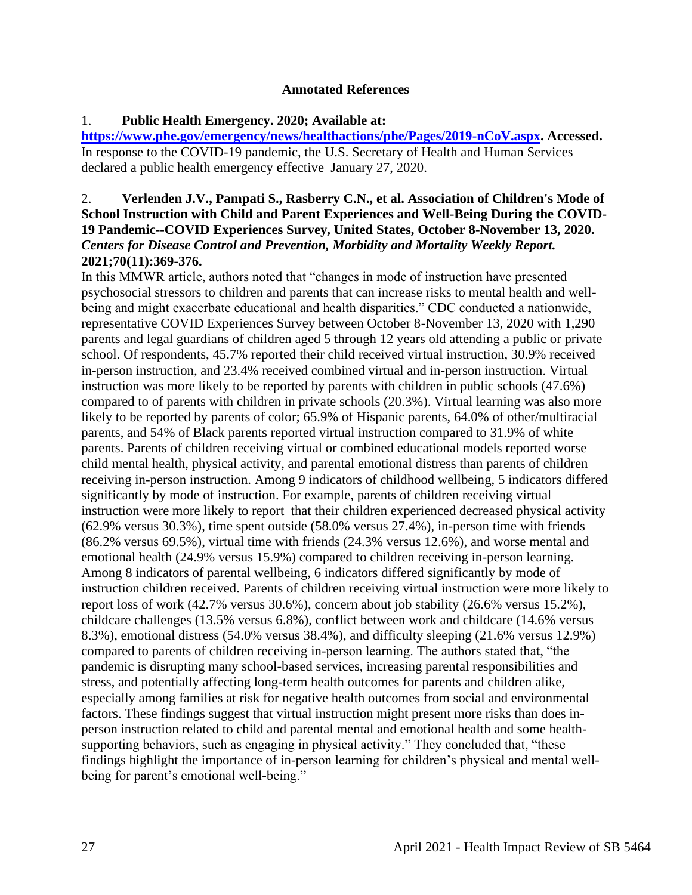#### **Annotated References**

## 1. **Public Health Emergency. 2020; Available at:**

**[https://www.phe.gov/emergency/news/healthactions/phe/Pages/2019-nCoV.aspx.](https://www.phe.gov/emergency/news/healthactions/phe/Pages/2019-nCoV.aspx) Accessed.** In response to the COVID-19 pandemic, the U.S. Secretary of Health and Human Services declared a public health emergency effective January 27, 2020.

## 2. **Verlenden J.V., Pampati S., Rasberry C.N., et al. Association of Children's Mode of School Instruction with Child and Parent Experiences and Well-Being During the COVID-19 Pandemic--COVID Experiences Survey, United States, October 8-November 13, 2020.**  *Centers for Disease Control and Prevention, Morbidity and Mortality Weekly Report.*  **2021;70(11):369-376.**

In this MMWR article, authors noted that "changes in mode of instruction have presented psychosocial stressors to children and parents that can increase risks to mental health and wellbeing and might exacerbate educational and health disparities." CDC conducted a nationwide, representative COVID Experiences Survey between October 8-November 13, 2020 with 1,290 parents and legal guardians of children aged 5 through 12 years old attending a public or private school. Of respondents, 45.7% reported their child received virtual instruction, 30.9% received in-person instruction, and 23.4% received combined virtual and in-person instruction. Virtual instruction was more likely to be reported by parents with children in public schools (47.6%) compared to of parents with children in private schools (20.3%). Virtual learning was also more likely to be reported by parents of color; 65.9% of Hispanic parents, 64.0% of other/multiracial parents, and 54% of Black parents reported virtual instruction compared to 31.9% of white parents. Parents of children receiving virtual or combined educational models reported worse child mental health, physical activity, and parental emotional distress than parents of children receiving in-person instruction. Among 9 indicators of childhood wellbeing, 5 indicators differed significantly by mode of instruction. For example, parents of children receiving virtual instruction were more likely to report that their children experienced decreased physical activity (62.9% versus 30.3%), time spent outside (58.0% versus 27.4%), in-person time with friends (86.2% versus 69.5%), virtual time with friends (24.3% versus 12.6%), and worse mental and emotional health (24.9% versus 15.9%) compared to children receiving in-person learning. Among 8 indicators of parental wellbeing, 6 indicators differed significantly by mode of instruction children received. Parents of children receiving virtual instruction were more likely to report loss of work (42.7% versus 30.6%), concern about job stability (26.6% versus 15.2%), childcare challenges (13.5% versus 6.8%), conflict between work and childcare (14.6% versus 8.3%), emotional distress (54.0% versus 38.4%), and difficulty sleeping (21.6% versus 12.9%) compared to parents of children receiving in-person learning. The authors stated that, "the pandemic is disrupting many school-based services, increasing parental responsibilities and stress, and potentially affecting long-term health outcomes for parents and children alike, especially among families at risk for negative health outcomes from social and environmental factors. These findings suggest that virtual instruction might present more risks than does inperson instruction related to child and parental mental and emotional health and some healthsupporting behaviors, such as engaging in physical activity." They concluded that, "these findings highlight the importance of in-person learning for children's physical and mental wellbeing for parent's emotional well-being."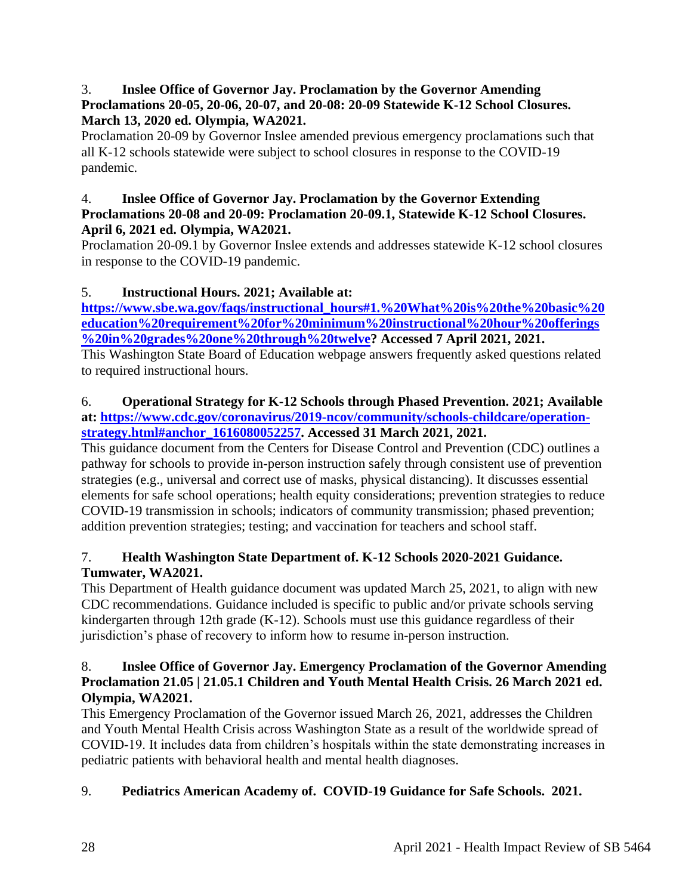## 3. **Inslee Office of Governor Jay. Proclamation by the Governor Amending Proclamations 20-05, 20-06, 20-07, and 20-08: 20-09 Statewide K-12 School Closures. March 13, 2020 ed. Olympia, WA2021.**

Proclamation 20-09 by Governor Inslee amended previous emergency proclamations such that all K-12 schools statewide were subject to school closures in response to the COVID-19 pandemic.

#### 4. **Inslee Office of Governor Jay. Proclamation by the Governor Extending Proclamations 20-08 and 20-09: Proclamation 20-09.1, Statewide K-12 School Closures. April 6, 2021 ed. Olympia, WA2021.**

Proclamation 20-09.1 by Governor Inslee extends and addresses statewide K-12 school closures in response to the COVID-19 pandemic.

# 5. **Instructional Hours. 2021; Available at:**

**[https://www.sbe.wa.gov/faqs/instructional\\_hours#1.%20What%20is%20the%20basic%20](https://www.sbe.wa.gov/faqs/instructional_hours#1.%20What%20is%20the%20basic%20education%20requirement%20for%20minimum%20instructional%20hour%20offerings%20in%20grades%20one%20through%20twelve) [education%20requirement%20for%20minimum%20instructional%20hour%20offerings](https://www.sbe.wa.gov/faqs/instructional_hours#1.%20What%20is%20the%20basic%20education%20requirement%20for%20minimum%20instructional%20hour%20offerings%20in%20grades%20one%20through%20twelve) [%20in%20grades%20one%20through%20twelve?](https://www.sbe.wa.gov/faqs/instructional_hours#1.%20What%20is%20the%20basic%20education%20requirement%20for%20minimum%20instructional%20hour%20offerings%20in%20grades%20one%20through%20twelve) Accessed 7 April 2021, 2021.**

This Washington State Board of Education webpage answers frequently asked questions related to required instructional hours.

#### 6. **Operational Strategy for K-12 Schools through Phased Prevention. 2021; Available at: [https://www.cdc.gov/coronavirus/2019-ncov/community/schools-childcare/operation](https://www.cdc.gov/coronavirus/2019-ncov/community/schools-childcare/operation-strategy.html#anchor_1616080052257)[strategy.html#anchor\\_1616080052257.](https://www.cdc.gov/coronavirus/2019-ncov/community/schools-childcare/operation-strategy.html#anchor_1616080052257) Accessed 31 March 2021, 2021.**

This guidance document from the Centers for Disease Control and Prevention (CDC) outlines a pathway for schools to provide in-person instruction safely through consistent use of prevention strategies (e.g., universal and correct use of masks, physical distancing). It discusses essential elements for safe school operations; health equity considerations; prevention strategies to reduce COVID-19 transmission in schools; indicators of community transmission; phased prevention; addition prevention strategies; testing; and vaccination for teachers and school staff.

# 7. **Health Washington State Department of. K-12 Schools 2020-2021 Guidance. Tumwater, WA2021.**

This Department of Health guidance document was updated March 25, 2021, to align with new CDC recommendations. Guidance included is specific to public and/or private schools serving kindergarten through 12th grade (K-12). Schools must use this guidance regardless of their jurisdiction's phase of recovery to inform how to resume in-person instruction.

## 8. **Inslee Office of Governor Jay. Emergency Proclamation of the Governor Amending Proclamation 21.05 | 21.05.1 Children and Youth Mental Health Crisis. 26 March 2021 ed. Olympia, WA2021.**

This Emergency Proclamation of the Governor issued March 26, 2021, addresses the Children and Youth Mental Health Crisis across Washington State as a result of the worldwide spread of COVID-19. It includes data from children's hospitals within the state demonstrating increases in pediatric patients with behavioral health and mental health diagnoses.

# 9. **Pediatrics American Academy of. COVID-19 Guidance for Safe Schools. 2021.**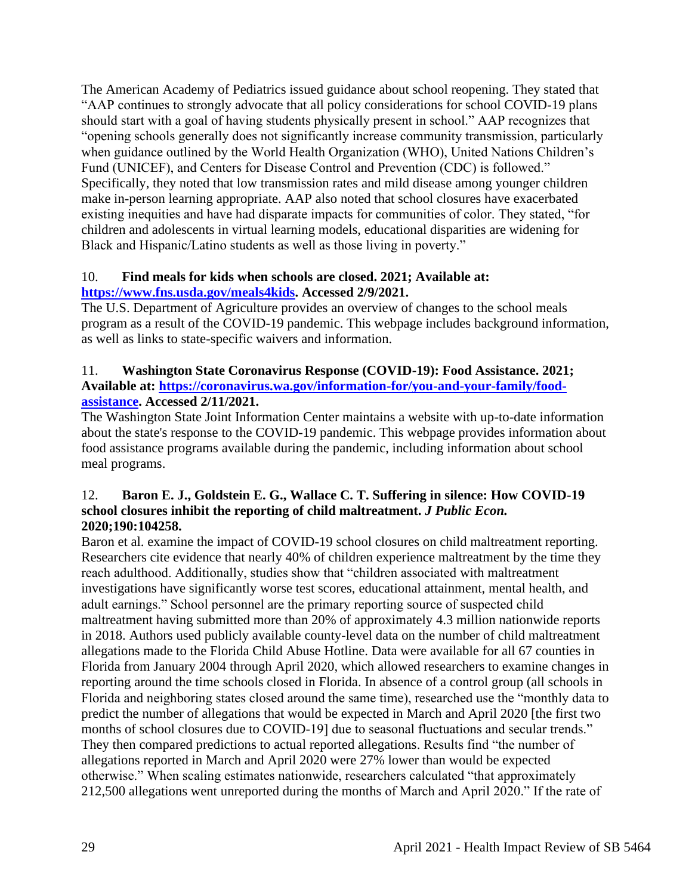The American Academy of Pediatrics issued guidance about school reopening. They stated that "AAP continues to strongly advocate that all policy considerations for school COVID-19 plans should start with a goal of having students physically present in school." AAP recognizes that "opening schools generally does not significantly increase community transmission, particularly when guidance outlined by the World Health Organization (WHO), United Nations Children's Fund (UNICEF), and Centers for Disease Control and Prevention (CDC) is followed." Specifically, they noted that low transmission rates and mild disease among younger children make in-person learning appropriate. AAP also noted that school closures have exacerbated existing inequities and have had disparate impacts for communities of color. They stated, "for children and adolescents in virtual learning models, educational disparities are widening for Black and Hispanic/Latino students as well as those living in poverty."

## 10. **Find meals for kids when schools are closed. 2021; Available at: [https://www.fns.usda.gov/meals4kids.](https://www.fns.usda.gov/meals4kids) Accessed 2/9/2021.**

The U.S. Department of Agriculture provides an overview of changes to the school meals program as a result of the COVID-19 pandemic. This webpage includes background information, as well as links to state-specific waivers and information.

## 11. **Washington State Coronavirus Response (COVID-19): Food Assistance. 2021; Available at: [https://coronavirus.wa.gov/information-for/you-and-your-family/food](https://coronavirus.wa.gov/information-for/you-and-your-family/food-assistance)[assistance.](https://coronavirus.wa.gov/information-for/you-and-your-family/food-assistance) Accessed 2/11/2021.**

The Washington State Joint Information Center maintains a website with up-to-date information about the state's response to the COVID-19 pandemic. This webpage provides information about food assistance programs available during the pandemic, including information about school meal programs.

## 12. **Baron E. J., Goldstein E. G., Wallace C. T. Suffering in silence: How COVID-19 school closures inhibit the reporting of child maltreatment.** *J Public Econ.*  **2020;190:104258.**

Baron et al. examine the impact of COVID-19 school closures on child maltreatment reporting. Researchers cite evidence that nearly 40% of children experience maltreatment by the time they reach adulthood. Additionally, studies show that "children associated with maltreatment investigations have significantly worse test scores, educational attainment, mental health, and adult earnings." School personnel are the primary reporting source of suspected child maltreatment having submitted more than 20% of approximately 4.3 million nationwide reports in 2018. Authors used publicly available county-level data on the number of child maltreatment allegations made to the Florida Child Abuse Hotline. Data were available for all 67 counties in Florida from January 2004 through April 2020, which allowed researchers to examine changes in reporting around the time schools closed in Florida. In absence of a control group (all schools in Florida and neighboring states closed around the same time), researched use the "monthly data to predict the number of allegations that would be expected in March and April 2020 [the first two months of school closures due to COVID-19] due to seasonal fluctuations and secular trends." They then compared predictions to actual reported allegations. Results find "the number of allegations reported in March and April 2020 were 27% lower than would be expected otherwise." When scaling estimates nationwide, researchers calculated "that approximately 212,500 allegations went unreported during the months of March and April 2020." If the rate of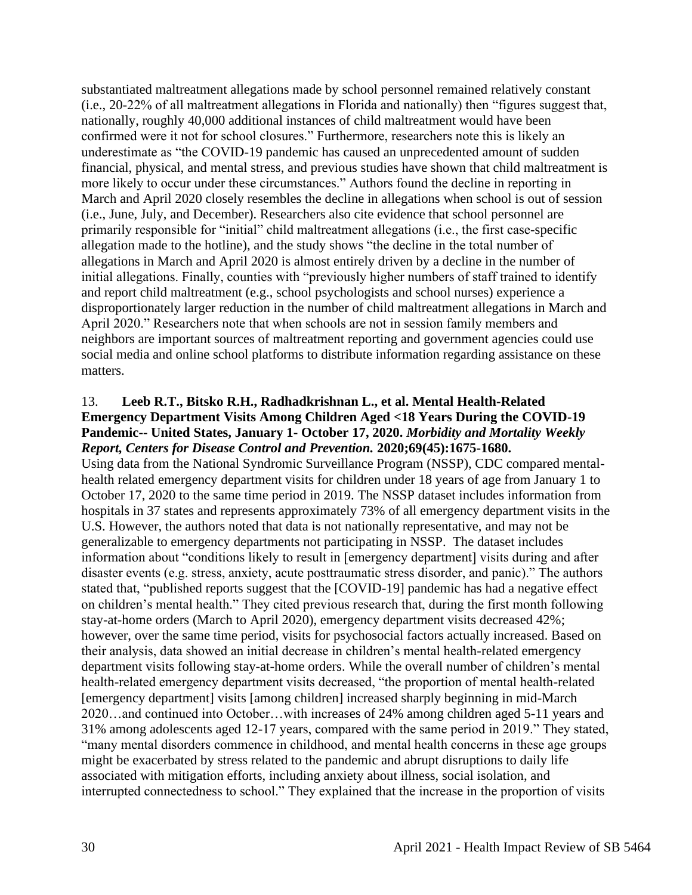substantiated maltreatment allegations made by school personnel remained relatively constant (i.e., 20-22% of all maltreatment allegations in Florida and nationally) then "figures suggest that, nationally, roughly 40,000 additional instances of child maltreatment would have been confirmed were it not for school closures." Furthermore, researchers note this is likely an underestimate as "the COVID-19 pandemic has caused an unprecedented amount of sudden financial, physical, and mental stress, and previous studies have shown that child maltreatment is more likely to occur under these circumstances." Authors found the decline in reporting in March and April 2020 closely resembles the decline in allegations when school is out of session (i.e., June, July, and December). Researchers also cite evidence that school personnel are primarily responsible for "initial" child maltreatment allegations (i.e., the first case-specific allegation made to the hotline), and the study shows "the decline in the total number of allegations in March and April 2020 is almost entirely driven by a decline in the number of initial allegations. Finally, counties with "previously higher numbers of staff trained to identify and report child maltreatment (e.g., school psychologists and school nurses) experience a disproportionately larger reduction in the number of child maltreatment allegations in March and April 2020." Researchers note that when schools are not in session family members and neighbors are important sources of maltreatment reporting and government agencies could use social media and online school platforms to distribute information regarding assistance on these matters.

#### 13. **Leeb R.T., Bitsko R.H., Radhadkrishnan L., et al. Mental Health-Related Emergency Department Visits Among Children Aged <18 Years During the COVID-19 Pandemic-- United States, January 1- October 17, 2020.** *Morbidity and Mortality Weekly Report, Centers for Disease Control and Prevention.* **2020;69(45):1675-1680.**

Using data from the National Syndromic Surveillance Program (NSSP), CDC compared mentalhealth related emergency department visits for children under 18 years of age from January 1 to October 17, 2020 to the same time period in 2019. The NSSP dataset includes information from hospitals in 37 states and represents approximately 73% of all emergency department visits in the U.S. However, the authors noted that data is not nationally representative, and may not be generalizable to emergency departments not participating in NSSP. The dataset includes information about "conditions likely to result in [emergency department] visits during and after disaster events (e.g. stress, anxiety, acute posttraumatic stress disorder, and panic)." The authors stated that, "published reports suggest that the [COVID-19] pandemic has had a negative effect on children's mental health." They cited previous research that, during the first month following stay-at-home orders (March to April 2020), emergency department visits decreased 42%; however, over the same time period, visits for psychosocial factors actually increased. Based on their analysis, data showed an initial decrease in children's mental health-related emergency department visits following stay-at-home orders. While the overall number of children's mental health-related emergency department visits decreased, "the proportion of mental health-related [emergency department] visits [among children] increased sharply beginning in mid-March 2020…and continued into October…with increases of 24% among children aged 5-11 years and 31% among adolescents aged 12-17 years, compared with the same period in 2019." They stated, "many mental disorders commence in childhood, and mental health concerns in these age groups might be exacerbated by stress related to the pandemic and abrupt disruptions to daily life associated with mitigation efforts, including anxiety about illness, social isolation, and interrupted connectedness to school." They explained that the increase in the proportion of visits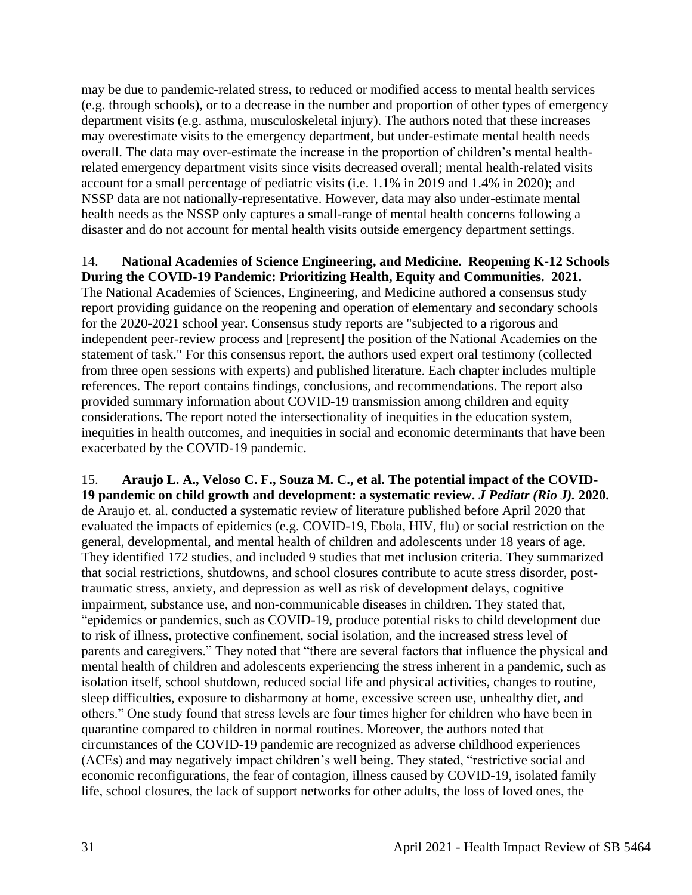may be due to pandemic-related stress, to reduced or modified access to mental health services (e.g. through schools), or to a decrease in the number and proportion of other types of emergency department visits (e.g. asthma, musculoskeletal injury). The authors noted that these increases may overestimate visits to the emergency department, but under-estimate mental health needs overall. The data may over-estimate the increase in the proportion of children's mental healthrelated emergency department visits since visits decreased overall; mental health-related visits account for a small percentage of pediatric visits (i.e. 1.1% in 2019 and 1.4% in 2020); and NSSP data are not nationally-representative. However, data may also under-estimate mental health needs as the NSSP only captures a small-range of mental health concerns following a disaster and do not account for mental health visits outside emergency department settings.

14. **National Academies of Science Engineering, and Medicine. Reopening K-12 Schools During the COVID-19 Pandemic: Prioritizing Health, Equity and Communities. 2021.** The National Academies of Sciences, Engineering, and Medicine authored a consensus study report providing guidance on the reopening and operation of elementary and secondary schools for the 2020-2021 school year. Consensus study reports are "subjected to a rigorous and independent peer-review process and [represent] the position of the National Academies on the statement of task." For this consensus report, the authors used expert oral testimony (collected from three open sessions with experts) and published literature. Each chapter includes multiple references. The report contains findings, conclusions, and recommendations. The report also provided summary information about COVID-19 transmission among children and equity considerations. The report noted the intersectionality of inequities in the education system, inequities in health outcomes, and inequities in social and economic determinants that have been exacerbated by the COVID-19 pandemic.

15. **Araujo L. A., Veloso C. F., Souza M. C., et al. The potential impact of the COVID-19 pandemic on child growth and development: a systematic review.** *J Pediatr (Rio J).* **2020.** de Araujo et. al. conducted a systematic review of literature published before April 2020 that evaluated the impacts of epidemics (e.g. COVID-19, Ebola, HIV, flu) or social restriction on the general, developmental, and mental health of children and adolescents under 18 years of age. They identified 172 studies, and included 9 studies that met inclusion criteria. They summarized that social restrictions, shutdowns, and school closures contribute to acute stress disorder, posttraumatic stress, anxiety, and depression as well as risk of development delays, cognitive impairment, substance use, and non-communicable diseases in children. They stated that, "epidemics or pandemics, such as COVID-19, produce potential risks to child development due to risk of illness, protective confinement, social isolation, and the increased stress level of parents and caregivers." They noted that "there are several factors that influence the physical and mental health of children and adolescents experiencing the stress inherent in a pandemic, such as isolation itself, school shutdown, reduced social life and physical activities, changes to routine, sleep difficulties, exposure to disharmony at home, excessive screen use, unhealthy diet, and others." One study found that stress levels are four times higher for children who have been in quarantine compared to children in normal routines. Moreover, the authors noted that circumstances of the COVID-19 pandemic are recognized as adverse childhood experiences (ACEs) and may negatively impact children's well being. They stated, "restrictive social and economic reconfigurations, the fear of contagion, illness caused by COVID-19, isolated family life, school closures, the lack of support networks for other adults, the loss of loved ones, the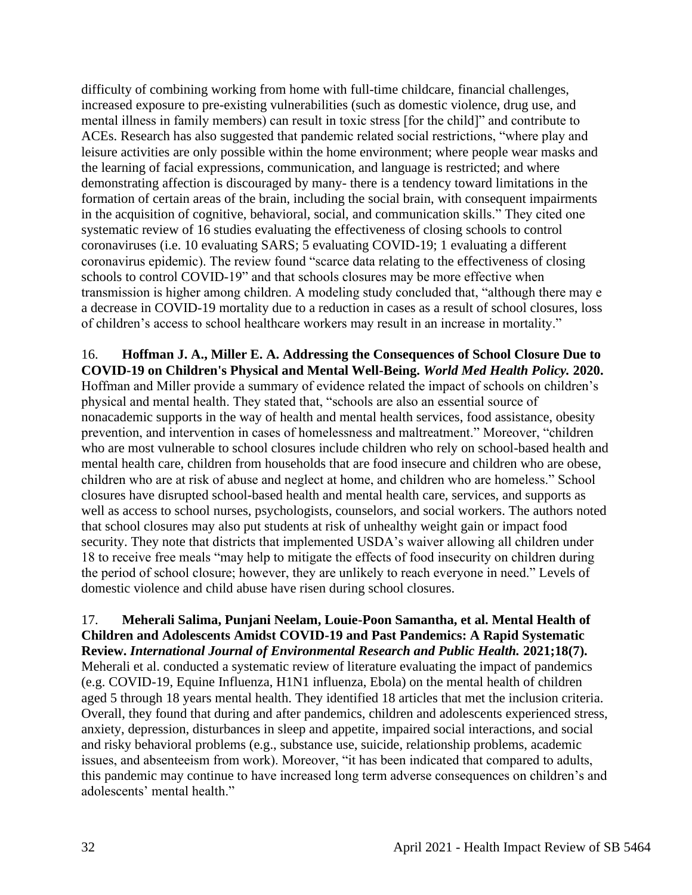difficulty of combining working from home with full-time childcare, financial challenges, increased exposure to pre-existing vulnerabilities (such as domestic violence, drug use, and mental illness in family members) can result in toxic stress [for the child]" and contribute to ACEs. Research has also suggested that pandemic related social restrictions, "where play and leisure activities are only possible within the home environment; where people wear masks and the learning of facial expressions, communication, and language is restricted; and where demonstrating affection is discouraged by many- there is a tendency toward limitations in the formation of certain areas of the brain, including the social brain, with consequent impairments in the acquisition of cognitive, behavioral, social, and communication skills." They cited one systematic review of 16 studies evaluating the effectiveness of closing schools to control coronaviruses (i.e. 10 evaluating SARS; 5 evaluating COVID-19; 1 evaluating a different coronavirus epidemic). The review found "scarce data relating to the effectiveness of closing schools to control COVID-19" and that schools closures may be more effective when transmission is higher among children. A modeling study concluded that, "although there may e a decrease in COVID-19 mortality due to a reduction in cases as a result of school closures, loss of children's access to school healthcare workers may result in an increase in mortality."

16. **Hoffman J. A., Miller E. A. Addressing the Consequences of School Closure Due to COVID-19 on Children's Physical and Mental Well-Being.** *World Med Health Policy.* **2020.** Hoffman and Miller provide a summary of evidence related the impact of schools on children's physical and mental health. They stated that, "schools are also an essential source of nonacademic supports in the way of health and mental health services, food assistance, obesity prevention, and intervention in cases of homelessness and maltreatment." Moreover, "children who are most vulnerable to school closures include children who rely on school-based health and mental health care, children from households that are food insecure and children who are obese, children who are at risk of abuse and neglect at home, and children who are homeless." School closures have disrupted school-based health and mental health care, services, and supports as well as access to school nurses, psychologists, counselors, and social workers. The authors noted that school closures may also put students at risk of unhealthy weight gain or impact food security. They note that districts that implemented USDA's waiver allowing all children under 18 to receive free meals "may help to mitigate the effects of food insecurity on children during the period of school closure; however, they are unlikely to reach everyone in need." Levels of domestic violence and child abuse have risen during school closures.

17. **Meherali Salima, Punjani Neelam, Louie-Poon Samantha, et al. Mental Health of Children and Adolescents Amidst COVID-19 and Past Pandemics: A Rapid Systematic Review.** *International Journal of Environmental Research and Public Health.* **2021;18(7).** Meherali et al. conducted a systematic review of literature evaluating the impact of pandemics (e.g. COVID-19, Equine Influenza, H1N1 influenza, Ebola) on the mental health of children aged 5 through 18 years mental health. They identified 18 articles that met the inclusion criteria. Overall, they found that during and after pandemics, children and adolescents experienced stress, anxiety, depression, disturbances in sleep and appetite, impaired social interactions, and social and risky behavioral problems (e.g., substance use, suicide, relationship problems, academic issues, and absenteeism from work). Moreover, "it has been indicated that compared to adults, this pandemic may continue to have increased long term adverse consequences on children's and adolescents' mental health."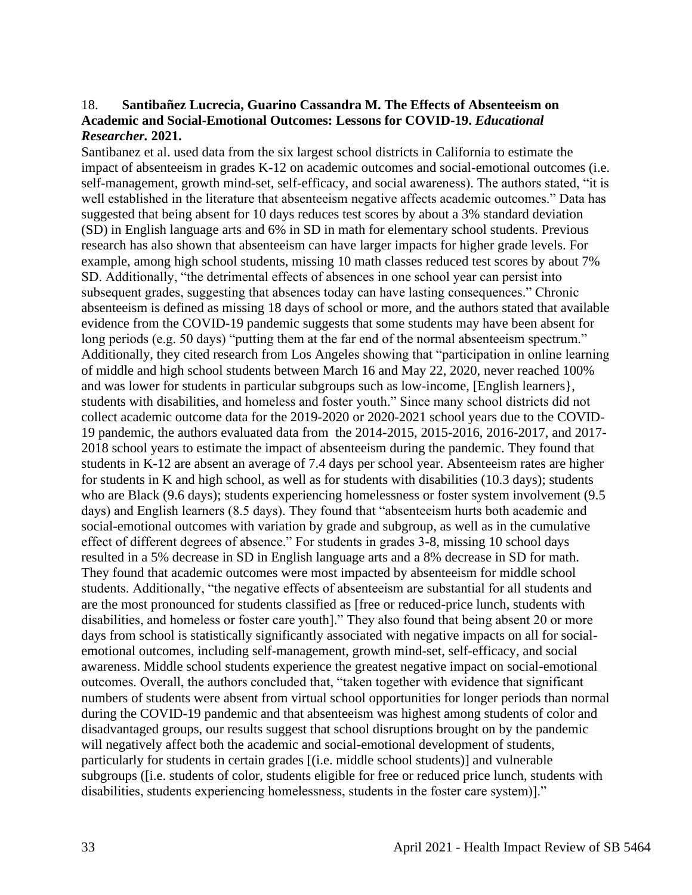#### 18. **Santibañez Lucrecia, Guarino Cassandra M. The Effects of Absenteeism on Academic and Social-Emotional Outcomes: Lessons for COVID-19.** *Educational Researcher.* **2021.**

Santibanez et al. used data from the six largest school districts in California to estimate the impact of absenteeism in grades K-12 on academic outcomes and social-emotional outcomes (i.e. self-management, growth mind-set, self-efficacy, and social awareness). The authors stated, "it is well established in the literature that absenteeism negative affects academic outcomes." Data has suggested that being absent for 10 days reduces test scores by about a 3% standard deviation (SD) in English language arts and 6% in SD in math for elementary school students. Previous research has also shown that absenteeism can have larger impacts for higher grade levels. For example, among high school students, missing 10 math classes reduced test scores by about 7% SD. Additionally, "the detrimental effects of absences in one school year can persist into subsequent grades, suggesting that absences today can have lasting consequences." Chronic absenteeism is defined as missing 18 days of school or more, and the authors stated that available evidence from the COVID-19 pandemic suggests that some students may have been absent for long periods (e.g. 50 days) "putting them at the far end of the normal absenteeism spectrum." Additionally, they cited research from Los Angeles showing that "participation in online learning of middle and high school students between March 16 and May 22, 2020, never reached 100% and was lower for students in particular subgroups such as low-income, [English learners}, students with disabilities, and homeless and foster youth." Since many school districts did not collect academic outcome data for the 2019-2020 or 2020-2021 school years due to the COVID-19 pandemic, the authors evaluated data from the 2014-2015, 2015-2016, 2016-2017, and 2017- 2018 school years to estimate the impact of absenteeism during the pandemic. They found that students in K-12 are absent an average of 7.4 days per school year. Absenteeism rates are higher for students in K and high school, as well as for students with disabilities (10.3 days); students who are Black (9.6 days); students experiencing homelessness or foster system involvement (9.5 days) and English learners (8.5 days). They found that "absenteeism hurts both academic and social-emotional outcomes with variation by grade and subgroup, as well as in the cumulative effect of different degrees of absence." For students in grades 3-8, missing 10 school days resulted in a 5% decrease in SD in English language arts and a 8% decrease in SD for math. They found that academic outcomes were most impacted by absenteeism for middle school students. Additionally, "the negative effects of absenteeism are substantial for all students and are the most pronounced for students classified as [free or reduced-price lunch, students with disabilities, and homeless or foster care youth]." They also found that being absent 20 or more days from school is statistically significantly associated with negative impacts on all for socialemotional outcomes, including self-management, growth mind-set, self-efficacy, and social awareness. Middle school students experience the greatest negative impact on social-emotional outcomes. Overall, the authors concluded that, "taken together with evidence that significant numbers of students were absent from virtual school opportunities for longer periods than normal during the COVID-19 pandemic and that absenteeism was highest among students of color and disadvantaged groups, our results suggest that school disruptions brought on by the pandemic will negatively affect both the academic and social-emotional development of students, particularly for students in certain grades [(i.e. middle school students)] and vulnerable subgroups ([i.e. students of color, students eligible for free or reduced price lunch, students with disabilities, students experiencing homelessness, students in the foster care system)]."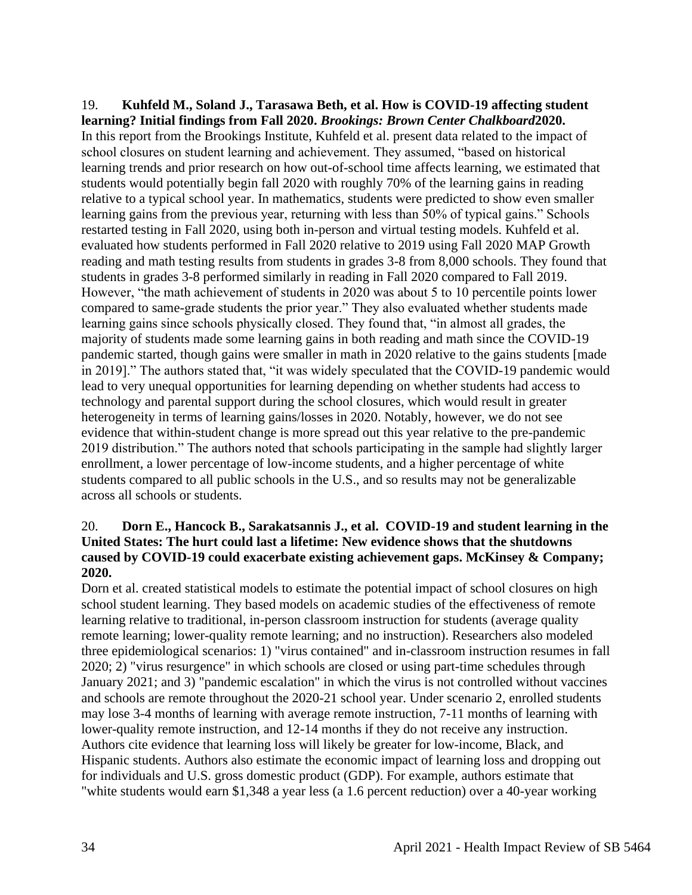19. **Kuhfeld M., Soland J., Tarasawa Beth, et al. How is COVID-19 affecting student learning? Initial findings from Fall 2020.** *Brookings: Brown Center Chalkboard***2020.** In this report from the Brookings Institute, Kuhfeld et al. present data related to the impact of school closures on student learning and achievement. They assumed, "based on historical learning trends and prior research on how out-of-school time affects learning, we estimated that students would potentially begin fall 2020 with roughly 70% of the learning gains in reading relative to a typical school year. In mathematics, students were predicted to show even smaller learning gains from the previous year, returning with less than 50% of typical gains." Schools restarted testing in Fall 2020, using both in-person and virtual testing models. Kuhfeld et al. evaluated how students performed in Fall 2020 relative to 2019 using Fall 2020 MAP Growth reading and math testing results from students in grades 3-8 from 8,000 schools. They found that students in grades 3-8 performed similarly in reading in Fall 2020 compared to Fall 2019. However, "the math achievement of students in 2020 was about 5 to 10 percentile points lower compared to same-grade students the prior year." They also evaluated whether students made learning gains since schools physically closed. They found that, "in almost all grades, the majority of students made some learning gains in both reading and math since the COVID-19 pandemic started, though gains were smaller in math in 2020 relative to the gains students [made in 2019]." The authors stated that, "it was widely speculated that the COVID-19 pandemic would lead to very unequal opportunities for learning depending on whether students had access to technology and parental support during the school closures, which would result in greater heterogeneity in terms of learning gains/losses in 2020. Notably, however, we do not see evidence that within-student change is more spread out this year relative to the pre-pandemic 2019 distribution." The authors noted that schools participating in the sample had slightly larger enrollment, a lower percentage of low-income students, and a higher percentage of white students compared to all public schools in the U.S., and so results may not be generalizable across all schools or students.

## 20. **Dorn E., Hancock B., Sarakatsannis J., et al. COVID-19 and student learning in the United States: The hurt could last a lifetime: New evidence shows that the shutdowns caused by COVID-19 could exacerbate existing achievement gaps. McKinsey & Company; 2020.**

Dorn et al. created statistical models to estimate the potential impact of school closures on high school student learning. They based models on academic studies of the effectiveness of remote learning relative to traditional, in-person classroom instruction for students (average quality remote learning; lower-quality remote learning; and no instruction). Researchers also modeled three epidemiological scenarios: 1) "virus contained" and in-classroom instruction resumes in fall 2020; 2) "virus resurgence" in which schools are closed or using part-time schedules through January 2021; and 3) "pandemic escalation" in which the virus is not controlled without vaccines and schools are remote throughout the 2020-21 school year. Under scenario 2, enrolled students may lose 3-4 months of learning with average remote instruction, 7-11 months of learning with lower-quality remote instruction, and 12-14 months if they do not receive any instruction. Authors cite evidence that learning loss will likely be greater for low-income, Black, and Hispanic students. Authors also estimate the economic impact of learning loss and dropping out for individuals and U.S. gross domestic product (GDP). For example, authors estimate that "white students would earn \$1,348 a year less (a 1.6 percent reduction) over a 40-year working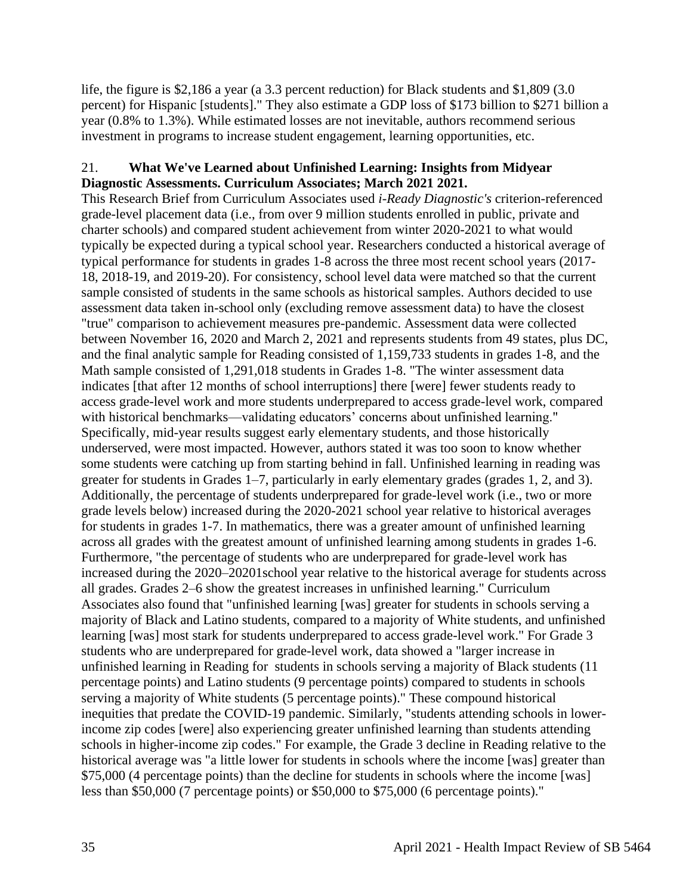life, the figure is \$2,186 a year (a 3.3 percent reduction) for Black students and \$1,809 (3.0) percent) for Hispanic [students]." They also estimate a GDP loss of \$173 billion to \$271 billion a year (0.8% to 1.3%). While estimated losses are not inevitable, authors recommend serious investment in programs to increase student engagement, learning opportunities, etc.

## 21. **What We've Learned about Unfinished Learning: Insights from Midyear Diagnostic Assessments. Curriculum Associates; March 2021 2021.**

This Research Brief from Curriculum Associates used *i-Ready Diagnostic's* criterion-referenced grade-level placement data (i.e., from over 9 million students enrolled in public, private and charter schools) and compared student achievement from winter 2020-2021 to what would typically be expected during a typical school year. Researchers conducted a historical average of typical performance for students in grades 1-8 across the three most recent school years (2017- 18, 2018-19, and 2019-20). For consistency, school level data were matched so that the current sample consisted of students in the same schools as historical samples. Authors decided to use assessment data taken in-school only (excluding remove assessment data) to have the closest "true" comparison to achievement measures pre-pandemic. Assessment data were collected between November 16, 2020 and March 2, 2021 and represents students from 49 states, plus DC, and the final analytic sample for Reading consisted of 1,159,733 students in grades 1-8, and the Math sample consisted of 1,291,018 students in Grades 1-8. "The winter assessment data indicates [that after 12 months of school interruptions] there [were] fewer students ready to access grade-level work and more students underprepared to access grade-level work, compared with historical benchmarks—validating educators' concerns about unfinished learning." Specifically, mid-year results suggest early elementary students, and those historically underserved, were most impacted. However, authors stated it was too soon to know whether some students were catching up from starting behind in fall. Unfinished learning in reading was greater for students in Grades 1–7, particularly in early elementary grades (grades 1, 2, and 3). Additionally, the percentage of students underprepared for grade-level work (i.e., two or more grade levels below) increased during the 2020-2021 school year relative to historical averages for students in grades 1-7. In mathematics, there was a greater amount of unfinished learning across all grades with the greatest amount of unfinished learning among students in grades 1-6. Furthermore, "the percentage of students who are underprepared for grade-level work has increased during the 2020–20201school year relative to the historical average for students across all grades. Grades 2–6 show the greatest increases in unfinished learning." Curriculum Associates also found that "unfinished learning [was] greater for students in schools serving a majority of Black and Latino students, compared to a majority of White students, and unfinished learning [was] most stark for students underprepared to access grade-level work." For Grade 3 students who are underprepared for grade-level work, data showed a "larger increase in unfinished learning in Reading for students in schools serving a majority of Black students (11 percentage points) and Latino students (9 percentage points) compared to students in schools serving a majority of White students (5 percentage points)." These compound historical inequities that predate the COVID-19 pandemic. Similarly, "students attending schools in lowerincome zip codes [were] also experiencing greater unfinished learning than students attending schools in higher-income zip codes." For example, the Grade 3 decline in Reading relative to the historical average was "a little lower for students in schools where the income [was] greater than \$75,000 (4 percentage points) than the decline for students in schools where the income [was] less than \$50,000 (7 percentage points) or \$50,000 to \$75,000 (6 percentage points)."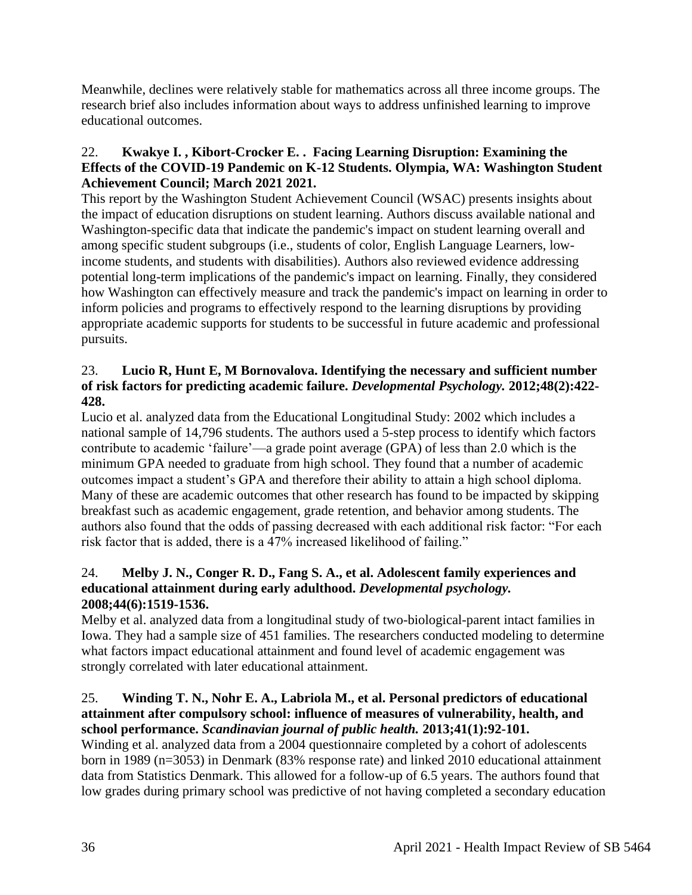Meanwhile, declines were relatively stable for mathematics across all three income groups. The research brief also includes information about ways to address unfinished learning to improve educational outcomes.

## 22. **Kwakye I. , Kibort-Crocker E. . Facing Learning Disruption: Examining the Effects of the COVID-19 Pandemic on K-12 Students. Olympia, WA: Washington Student Achievement Council; March 2021 2021.**

This report by the Washington Student Achievement Council (WSAC) presents insights about the impact of education disruptions on student learning. Authors discuss available national and Washington-specific data that indicate the pandemic's impact on student learning overall and among specific student subgroups (i.e., students of color, English Language Learners, lowincome students, and students with disabilities). Authors also reviewed evidence addressing potential long-term implications of the pandemic's impact on learning. Finally, they considered how Washington can effectively measure and track the pandemic's impact on learning in order to inform policies and programs to effectively respond to the learning disruptions by providing appropriate academic supports for students to be successful in future academic and professional pursuits.

## 23. **Lucio R, Hunt E, M Bornovalova. Identifying the necessary and sufficient number of risk factors for predicting academic failure.** *Developmental Psychology.* **2012;48(2):422- 428.**

Lucio et al. analyzed data from the Educational Longitudinal Study: 2002 which includes a national sample of 14,796 students. The authors used a 5-step process to identify which factors contribute to academic 'failure'—a grade point average (GPA) of less than 2.0 which is the minimum GPA needed to graduate from high school. They found that a number of academic outcomes impact a student's GPA and therefore their ability to attain a high school diploma. Many of these are academic outcomes that other research has found to be impacted by skipping breakfast such as academic engagement, grade retention, and behavior among students. The authors also found that the odds of passing decreased with each additional risk factor: "For each risk factor that is added, there is a 47% increased likelihood of failing."

## 24. **Melby J. N., Conger R. D., Fang S. A., et al. Adolescent family experiences and educational attainment during early adulthood.** *Developmental psychology.*  **2008;44(6):1519-1536.**

Melby et al. analyzed data from a longitudinal study of two-biological-parent intact families in Iowa. They had a sample size of 451 families. The researchers conducted modeling to determine what factors impact educational attainment and found level of academic engagement was strongly correlated with later educational attainment.

## 25. **Winding T. N., Nohr E. A., Labriola M., et al. Personal predictors of educational attainment after compulsory school: influence of measures of vulnerability, health, and school performance.** *Scandinavian journal of public health.* **2013;41(1):92-101.**

Winding et al. analyzed data from a 2004 questionnaire completed by a cohort of adolescents born in 1989 (n=3053) in Denmark (83% response rate) and linked 2010 educational attainment data from Statistics Denmark. This allowed for a follow-up of 6.5 years. The authors found that low grades during primary school was predictive of not having completed a secondary education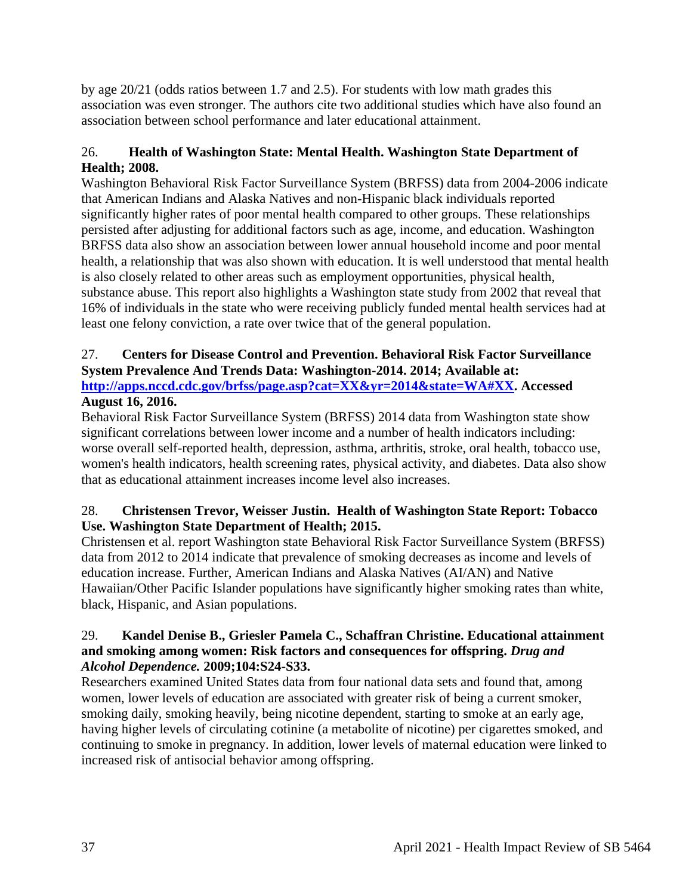by age 20/21 (odds ratios between 1.7 and 2.5). For students with low math grades this association was even stronger. The authors cite two additional studies which have also found an association between school performance and later educational attainment.

# 26. **Health of Washington State: Mental Health. Washington State Department of Health; 2008.**

Washington Behavioral Risk Factor Surveillance System (BRFSS) data from 2004-2006 indicate that American Indians and Alaska Natives and non-Hispanic black individuals reported significantly higher rates of poor mental health compared to other groups. These relationships persisted after adjusting for additional factors such as age, income, and education. Washington BRFSS data also show an association between lower annual household income and poor mental health, a relationship that was also shown with education. It is well understood that mental health is also closely related to other areas such as employment opportunities, physical health, substance abuse. This report also highlights a Washington state study from 2002 that reveal that 16% of individuals in the state who were receiving publicly funded mental health services had at least one felony conviction, a rate over twice that of the general population.

# 27. **Centers for Disease Control and Prevention. Behavioral Risk Factor Surveillance System Prevalence And Trends Data: Washington-2014. 2014; Available at: [http://apps.nccd.cdc.gov/brfss/page.asp?cat=XX&yr=2014&state=WA#XX.](http://apps.nccd.cdc.gov/brfss/page.asp?cat=XX&yr=2014&state=WA#XX) Accessed**

## **August 16, 2016.**

Behavioral Risk Factor Surveillance System (BRFSS) 2014 data from Washington state show significant correlations between lower income and a number of health indicators including: worse overall self-reported health, depression, asthma, arthritis, stroke, oral health, tobacco use, women's health indicators, health screening rates, physical activity, and diabetes. Data also show that as educational attainment increases income level also increases.

## 28. **Christensen Trevor, Weisser Justin. Health of Washington State Report: Tobacco Use. Washington State Department of Health; 2015.**

Christensen et al. report Washington state Behavioral Risk Factor Surveillance System (BRFSS) data from 2012 to 2014 indicate that prevalence of smoking decreases as income and levels of education increase. Further, American Indians and Alaska Natives (AI/AN) and Native Hawaiian/Other Pacific Islander populations have significantly higher smoking rates than white, black, Hispanic, and Asian populations.

## 29. **Kandel Denise B., Griesler Pamela C., Schaffran Christine. Educational attainment and smoking among women: Risk factors and consequences for offspring.** *Drug and Alcohol Dependence.* **2009;104:S24-S33.**

Researchers examined United States data from four national data sets and found that, among women, lower levels of education are associated with greater risk of being a current smoker, smoking daily, smoking heavily, being nicotine dependent, starting to smoke at an early age, having higher levels of circulating cotinine (a metabolite of nicotine) per cigarettes smoked, and continuing to smoke in pregnancy. In addition, lower levels of maternal education were linked to increased risk of antisocial behavior among offspring.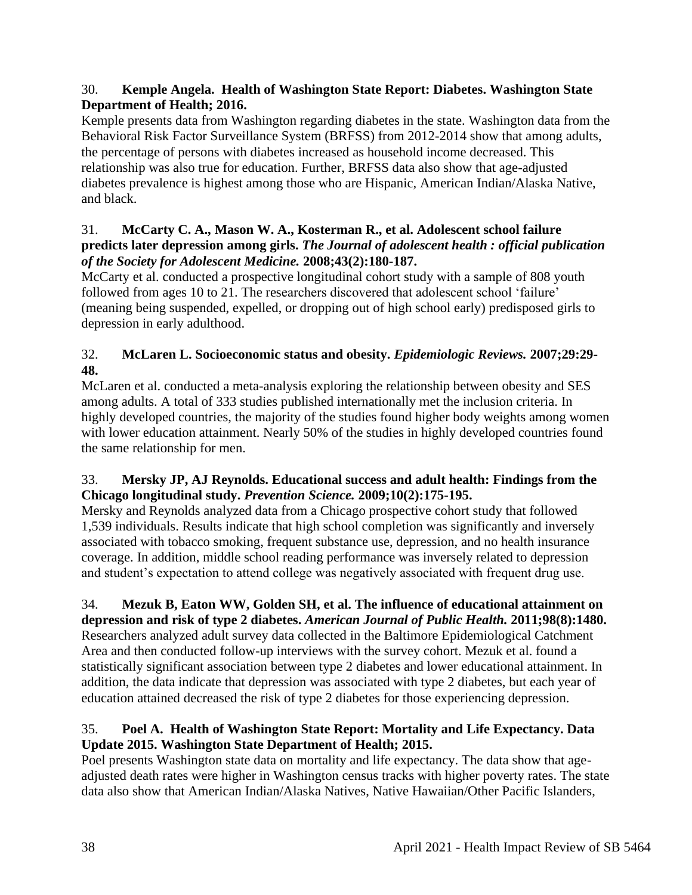## 30. **Kemple Angela. Health of Washington State Report: Diabetes. Washington State Department of Health; 2016.**

Kemple presents data from Washington regarding diabetes in the state. Washington data from the Behavioral Risk Factor Surveillance System (BRFSS) from 2012-2014 show that among adults, the percentage of persons with diabetes increased as household income decreased. This relationship was also true for education. Further, BRFSS data also show that age-adjusted diabetes prevalence is highest among those who are Hispanic, American Indian/Alaska Native, and black.

## 31. **McCarty C. A., Mason W. A., Kosterman R., et al. Adolescent school failure predicts later depression among girls.** *The Journal of adolescent health : official publication of the Society for Adolescent Medicine.* **2008;43(2):180-187.**

McCarty et al. conducted a prospective longitudinal cohort study with a sample of 808 youth followed from ages 10 to 21. The researchers discovered that adolescent school 'failure' (meaning being suspended, expelled, or dropping out of high school early) predisposed girls to depression in early adulthood.

# 32. **McLaren L. Socioeconomic status and obesity.** *Epidemiologic Reviews.* **2007;29:29- 48.**

McLaren et al. conducted a meta-analysis exploring the relationship between obesity and SES among adults. A total of 333 studies published internationally met the inclusion criteria. In highly developed countries, the majority of the studies found higher body weights among women with lower education attainment. Nearly 50% of the studies in highly developed countries found the same relationship for men.

## 33. **Mersky JP, AJ Reynolds. Educational success and adult health: Findings from the Chicago longitudinal study.** *Prevention Science.* **2009;10(2):175-195.**

Mersky and Reynolds analyzed data from a Chicago prospective cohort study that followed 1,539 individuals. Results indicate that high school completion was significantly and inversely associated with tobacco smoking, frequent substance use, depression, and no health insurance coverage. In addition, middle school reading performance was inversely related to depression and student's expectation to attend college was negatively associated with frequent drug use.

# 34. **Mezuk B, Eaton WW, Golden SH, et al. The influence of educational attainment on**

**depression and risk of type 2 diabetes.** *American Journal of Public Health.* **2011;98(8):1480.** Researchers analyzed adult survey data collected in the Baltimore Epidemiological Catchment Area and then conducted follow-up interviews with the survey cohort. Mezuk et al. found a statistically significant association between type 2 diabetes and lower educational attainment. In addition, the data indicate that depression was associated with type 2 diabetes, but each year of education attained decreased the risk of type 2 diabetes for those experiencing depression.

# 35. **Poel A. Health of Washington State Report: Mortality and Life Expectancy. Data Update 2015. Washington State Department of Health; 2015.**

Poel presents Washington state data on mortality and life expectancy. The data show that ageadjusted death rates were higher in Washington census tracks with higher poverty rates. The state data also show that American Indian/Alaska Natives, Native Hawaiian/Other Pacific Islanders,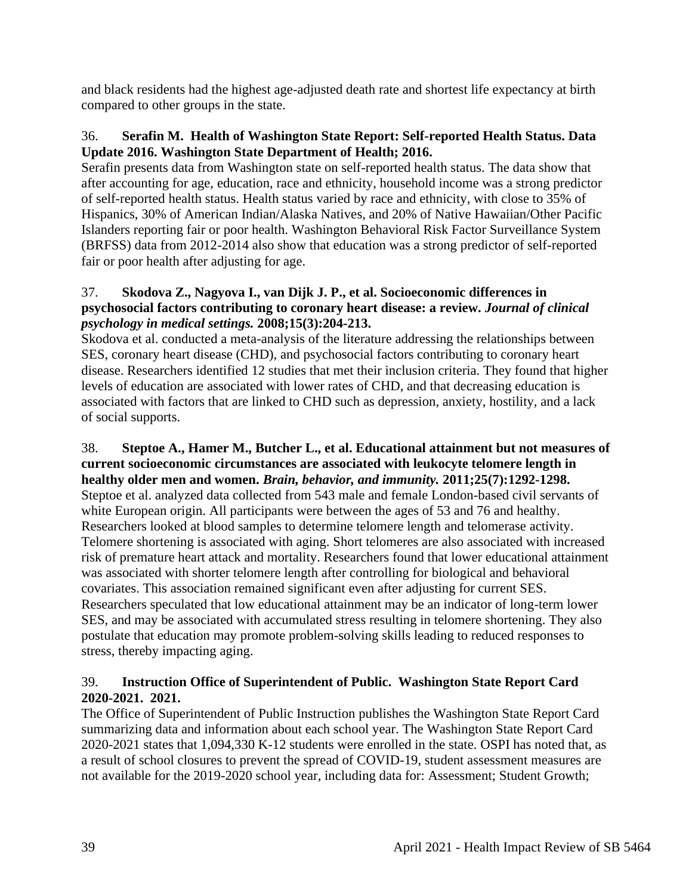and black residents had the highest age-adjusted death rate and shortest life expectancy at birth compared to other groups in the state.

## 36. **Serafin M. Health of Washington State Report: Self-reported Health Status. Data Update 2016. Washington State Department of Health; 2016.**

Serafin presents data from Washington state on self-reported health status. The data show that after accounting for age, education, race and ethnicity, household income was a strong predictor of self-reported health status. Health status varied by race and ethnicity, with close to 35% of Hispanics, 30% of American Indian/Alaska Natives, and 20% of Native Hawaiian/Other Pacific Islanders reporting fair or poor health. Washington Behavioral Risk Factor Surveillance System (BRFSS) data from 2012-2014 also show that education was a strong predictor of self-reported fair or poor health after adjusting for age.

## 37. **Skodova Z., Nagyova I., van Dijk J. P., et al. Socioeconomic differences in psychosocial factors contributing to coronary heart disease: a review.** *Journal of clinical psychology in medical settings.* **2008;15(3):204-213.**

Skodova et al. conducted a meta-analysis of the literature addressing the relationships between SES, coronary heart disease (CHD), and psychosocial factors contributing to coronary heart disease. Researchers identified 12 studies that met their inclusion criteria. They found that higher levels of education are associated with lower rates of CHD, and that decreasing education is associated with factors that are linked to CHD such as depression, anxiety, hostility, and a lack of social supports.

#### 38. **Steptoe A., Hamer M., Butcher L., et al. Educational attainment but not measures of current socioeconomic circumstances are associated with leukocyte telomere length in healthy older men and women.** *Brain, behavior, and immunity.* **2011;25(7):1292-1298.**

Steptoe et al. analyzed data collected from 543 male and female London-based civil servants of white European origin. All participants were between the ages of 53 and 76 and healthy. Researchers looked at blood samples to determine telomere length and telomerase activity. Telomere shortening is associated with aging. Short telomeres are also associated with increased risk of premature heart attack and mortality. Researchers found that lower educational attainment was associated with shorter telomere length after controlling for biological and behavioral covariates. This association remained significant even after adjusting for current SES. Researchers speculated that low educational attainment may be an indicator of long-term lower SES, and may be associated with accumulated stress resulting in telomere shortening. They also postulate that education may promote problem-solving skills leading to reduced responses to stress, thereby impacting aging.

# 39. **Instruction Office of Superintendent of Public. Washington State Report Card 2020-2021. 2021.**

The Office of Superintendent of Public Instruction publishes the Washington State Report Card summarizing data and information about each school year. The Washington State Report Card 2020-2021 states that 1,094,330 K-12 students were enrolled in the state. OSPI has noted that, as a result of school closures to prevent the spread of COVID-19, student assessment measures are not available for the 2019-2020 school year, including data for: Assessment; Student Growth;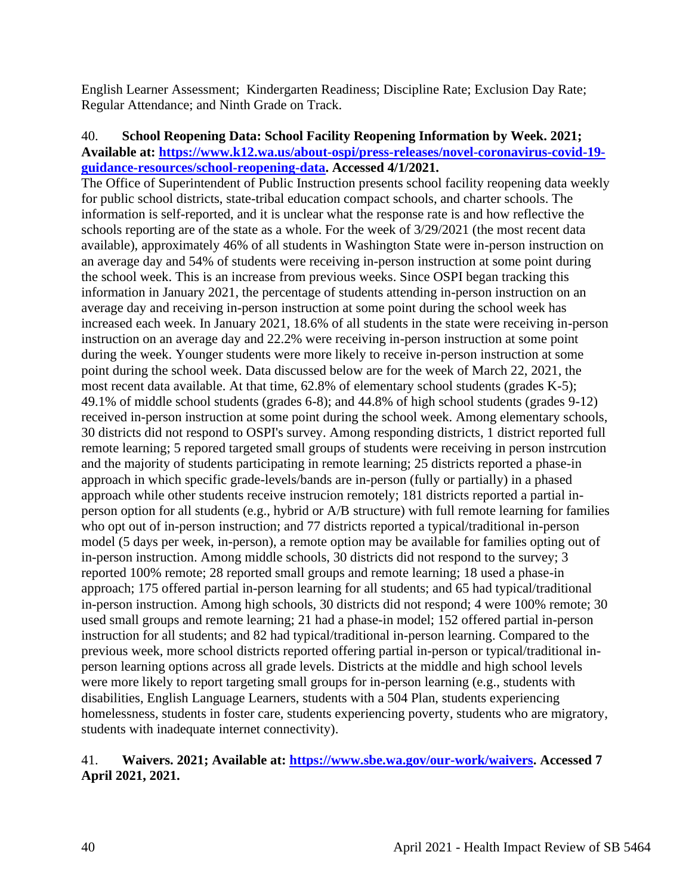English Learner Assessment; Kindergarten Readiness; Discipline Rate; Exclusion Day Rate; Regular Attendance; and Ninth Grade on Track.

## 40. **School Reopening Data: School Facility Reopening Information by Week. 2021; Available at: [https://www.k12.wa.us/about-ospi/press-releases/novel-coronavirus-covid-19](https://www.k12.wa.us/about-ospi/press-releases/novel-coronavirus-covid-19-guidance-resources/school-reopening-data) [guidance-resources/school-reopening-data.](https://www.k12.wa.us/about-ospi/press-releases/novel-coronavirus-covid-19-guidance-resources/school-reopening-data) Accessed 4/1/2021.**

The Office of Superintendent of Public Instruction presents school facility reopening data weekly for public school districts, state-tribal education compact schools, and charter schools. The information is self-reported, and it is unclear what the response rate is and how reflective the schools reporting are of the state as a whole. For the week of 3/29/2021 (the most recent data available), approximately 46% of all students in Washington State were in-person instruction on an average day and 54% of students were receiving in-person instruction at some point during the school week. This is an increase from previous weeks. Since OSPI began tracking this information in January 2021, the percentage of students attending in-person instruction on an average day and receiving in-person instruction at some point during the school week has increased each week. In January 2021, 18.6% of all students in the state were receiving in-person instruction on an average day and 22.2% were receiving in-person instruction at some point during the week. Younger students were more likely to receive in-person instruction at some point during the school week. Data discussed below are for the week of March 22, 2021, the most recent data available. At that time, 62.8% of elementary school students (grades K-5); 49.1% of middle school students (grades 6-8); and 44.8% of high school students (grades 9-12) received in-person instruction at some point during the school week. Among elementary schools, 30 districts did not respond to OSPI's survey. Among responding districts, 1 district reported full remote learning; 5 repored targeted small groups of students were receiving in person instrcution and the majority of students participating in remote learning; 25 districts reported a phase-in approach in which specific grade-levels/bands are in-person (fully or partially) in a phased approach while other students receive instrucion remotely; 181 districts reported a partial inperson option for all students (e.g., hybrid or A/B structure) with full remote learning for families who opt out of in-person instruction; and 77 districts reported a typical/traditional in-person model (5 days per week, in-person), a remote option may be available for families opting out of in-person instruction. Among middle schools, 30 districts did not respond to the survey; 3 reported 100% remote; 28 reported small groups and remote learning; 18 used a phase-in approach; 175 offered partial in-person learning for all students; and 65 had typical/traditional in-person instruction. Among high schools, 30 districts did not respond; 4 were 100% remote; 30 used small groups and remote learning; 21 had a phase-in model; 152 offered partial in-person instruction for all students; and 82 had typical/traditional in-person learning. Compared to the previous week, more school districts reported offering partial in-person or typical/traditional inperson learning options across all grade levels. Districts at the middle and high school levels were more likely to report targeting small groups for in-person learning (e.g., students with disabilities, English Language Learners, students with a 504 Plan, students experiencing homelessness, students in foster care, students experiencing poverty, students who are migratory, students with inadequate internet connectivity).

## 41. **Waivers. 2021; Available at: [https://www.sbe.wa.gov/our-work/waivers.](https://www.sbe.wa.gov/our-work/waivers) Accessed 7 April 2021, 2021.**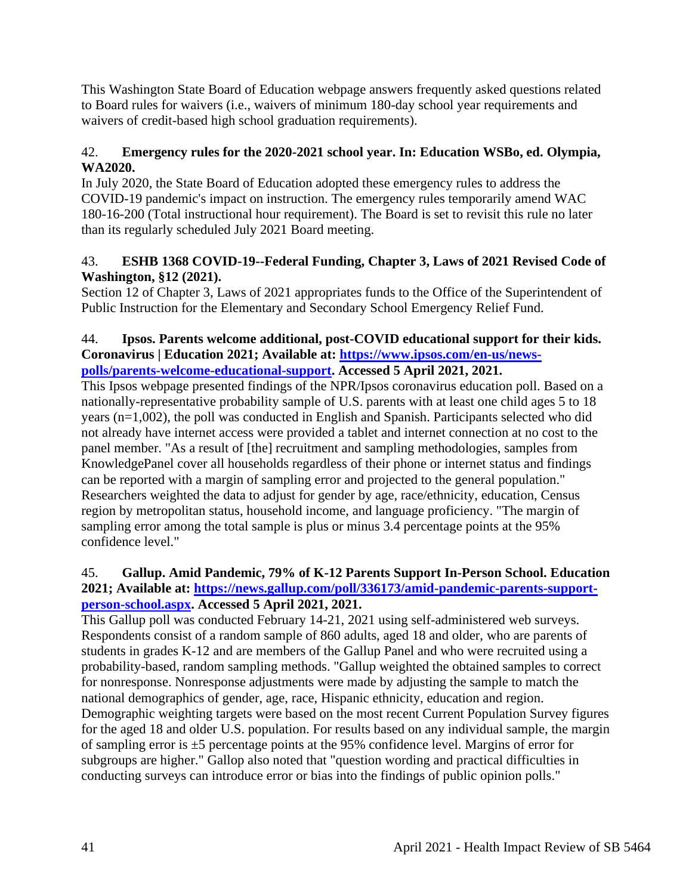This Washington State Board of Education webpage answers frequently asked questions related to Board rules for waivers (i.e., waivers of minimum 180-day school year requirements and waivers of credit-based high school graduation requirements).

# 42. **Emergency rules for the 2020-2021 school year. In: Education WSBo, ed. Olympia, WA2020.**

In July 2020, the State Board of Education adopted these emergency rules to address the COVID-19 pandemic's impact on instruction. The emergency rules temporarily amend WAC 180-16-200 (Total instructional hour requirement). The Board is set to revisit this rule no later than its regularly scheduled July 2021 Board meeting.

## 43. **ESHB 1368 COVID-19--Federal Funding, Chapter 3, Laws of 2021 Revised Code of Washington, §12 (2021).**

Section 12 of Chapter 3, Laws of 2021 appropriates funds to the Office of the Superintendent of Public Instruction for the Elementary and Secondary School Emergency Relief Fund.

#### 44. **Ipsos. Parents welcome additional, post-COVID educational support for their kids. Coronavirus | Education 2021; Available at: [https://www.ipsos.com/en-us/news](https://www.ipsos.com/en-us/news-polls/parents-welcome-educational-support)[polls/parents-welcome-educational-support.](https://www.ipsos.com/en-us/news-polls/parents-welcome-educational-support) Accessed 5 April 2021, 2021.**

This Ipsos webpage presented findings of the NPR/Ipsos coronavirus education poll. Based on a nationally-representative probability sample of U.S. parents with at least one child ages 5 to 18 years (n=1,002), the poll was conducted in English and Spanish. Participants selected who did not already have internet access were provided a tablet and internet connection at no cost to the panel member. "As a result of [the] recruitment and sampling methodologies, samples from KnowledgePanel cover all households regardless of their phone or internet status and findings can be reported with a margin of sampling error and projected to the general population." Researchers weighted the data to adjust for gender by age, race/ethnicity, education, Census region by metropolitan status, household income, and language proficiency. "The margin of sampling error among the total sample is plus or minus 3.4 percentage points at the 95% confidence level."

## 45. **Gallup. Amid Pandemic, 79% of K-12 Parents Support In-Person School. Education 2021; Available at: [https://news.gallup.com/poll/336173/amid-pandemic-parents-support](https://news.gallup.com/poll/336173/amid-pandemic-parents-support-person-school.aspx)[person-school.aspx.](https://news.gallup.com/poll/336173/amid-pandemic-parents-support-person-school.aspx) Accessed 5 April 2021, 2021.**

This Gallup poll was conducted February 14-21, 2021 using self-administered web surveys. Respondents consist of a random sample of 860 adults, aged 18 and older, who are parents of students in grades K-12 and are members of the Gallup Panel and who were recruited using a probability-based, random sampling methods. "Gallup weighted the obtained samples to correct for nonresponse. Nonresponse adjustments were made by adjusting the sample to match the national demographics of gender, age, race, Hispanic ethnicity, education and region. Demographic weighting targets were based on the most recent Current Population Survey figures for the aged 18 and older U.S. population. For results based on any individual sample, the margin of sampling error is  $\pm 5$  percentage points at the 95% confidence level. Margins of error for subgroups are higher." Gallop also noted that "question wording and practical difficulties in conducting surveys can introduce error or bias into the findings of public opinion polls."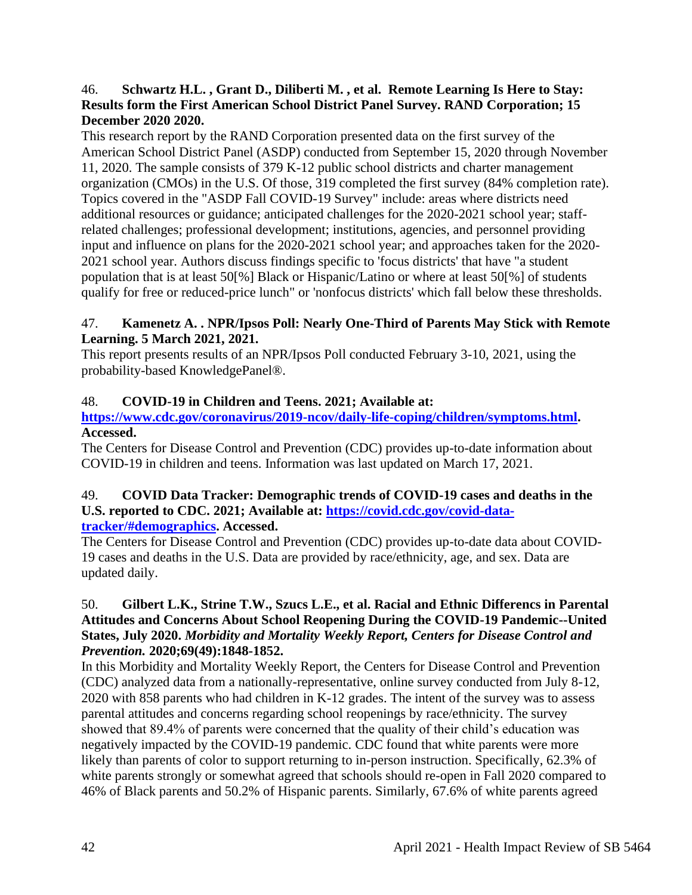#### 46. **Schwartz H.L. , Grant D., Diliberti M. , et al. Remote Learning Is Here to Stay: Results form the First American School District Panel Survey. RAND Corporation; 15 December 2020 2020.**

This research report by the RAND Corporation presented data on the first survey of the American School District Panel (ASDP) conducted from September 15, 2020 through November 11, 2020. The sample consists of 379 K-12 public school districts and charter management organization (CMOs) in the U.S. Of those, 319 completed the first survey (84% completion rate). Topics covered in the "ASDP Fall COVID-19 Survey" include: areas where districts need additional resources or guidance; anticipated challenges for the 2020-2021 school year; staffrelated challenges; professional development; institutions, agencies, and personnel providing input and influence on plans for the 2020-2021 school year; and approaches taken for the 2020- 2021 school year. Authors discuss findings specific to 'focus districts' that have "a student population that is at least 50[%] Black or Hispanic/Latino or where at least 50[%] of students qualify for free or reduced-price lunch" or 'nonfocus districts' which fall below these thresholds.

#### 47. **Kamenetz A. . NPR/Ipsos Poll: Nearly One-Third of Parents May Stick with Remote Learning. 5 March 2021, 2021.**

This report presents results of an NPR/Ipsos Poll conducted February 3-10, 2021, using the probability-based KnowledgePanel®.

# 48. **COVID-19 in Children and Teens. 2021; Available at:**

## **[https://www.cdc.gov/coronavirus/2019-ncov/daily-life-coping/children/symptoms.html.](https://www.cdc.gov/coronavirus/2019-ncov/daily-life-coping/children/symptoms.html) Accessed.**

The Centers for Disease Control and Prevention (CDC) provides up-to-date information about COVID-19 in children and teens. Information was last updated on March 17, 2021.

#### 49. **COVID Data Tracker: Demographic trends of COVID-19 cases and deaths in the U.S. reported to CDC. 2021; Available at: [https://covid.cdc.gov/covid-data](https://covid.cdc.gov/covid-data-tracker/#demographics)[tracker/#demographics.](https://covid.cdc.gov/covid-data-tracker/#demographics) Accessed.**

The Centers for Disease Control and Prevention (CDC) provides up-to-date data about COVID-19 cases and deaths in the U.S. Data are provided by race/ethnicity, age, and sex. Data are updated daily.

## 50. **Gilbert L.K., Strine T.W., Szucs L.E., et al. Racial and Ethnic Differencs in Parental Attitudes and Concerns About School Reopening During the COVID-19 Pandemic--United States, July 2020.** *Morbidity and Mortality Weekly Report, Centers for Disease Control and Prevention.* **2020;69(49):1848-1852.**

In this Morbidity and Mortality Weekly Report, the Centers for Disease Control and Prevention (CDC) analyzed data from a nationally-representative, online survey conducted from July 8-12, 2020 with 858 parents who had children in K-12 grades. The intent of the survey was to assess parental attitudes and concerns regarding school reopenings by race/ethnicity. The survey showed that 89.4% of parents were concerned that the quality of their child's education was negatively impacted by the COVID-19 pandemic. CDC found that white parents were more likely than parents of color to support returning to in-person instruction. Specifically, 62.3% of white parents strongly or somewhat agreed that schools should re-open in Fall 2020 compared to 46% of Black parents and 50.2% of Hispanic parents. Similarly, 67.6% of white parents agreed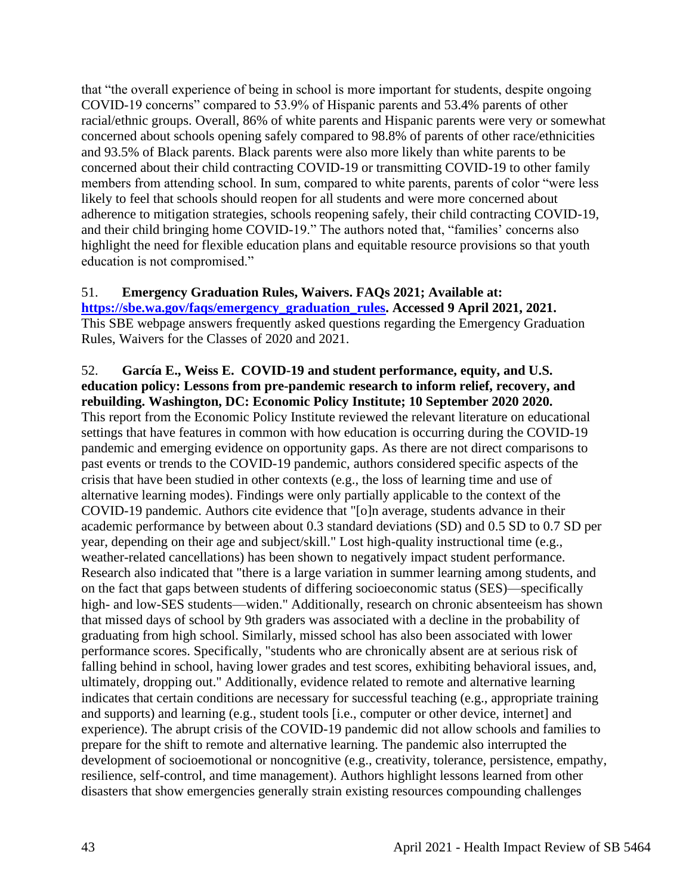that "the overall experience of being in school is more important for students, despite ongoing COVID-19 concerns" compared to 53.9% of Hispanic parents and 53.4% parents of other racial/ethnic groups. Overall, 86% of white parents and Hispanic parents were very or somewhat concerned about schools opening safely compared to 98.8% of parents of other race/ethnicities and 93.5% of Black parents. Black parents were also more likely than white parents to be concerned about their child contracting COVID-19 or transmitting COVID-19 to other family members from attending school. In sum, compared to white parents, parents of color "were less likely to feel that schools should reopen for all students and were more concerned about adherence to mitigation strategies, schools reopening safely, their child contracting COVID-19, and their child bringing home COVID-19." The authors noted that, "families' concerns also highlight the need for flexible education plans and equitable resource provisions so that youth education is not compromised."

## 51. **Emergency Graduation Rules, Waivers. FAQs 2021; Available at:**

**[https://sbe.wa.gov/faqs/emergency\\_graduation\\_rules.](https://sbe.wa.gov/faqs/emergency_graduation_rules) Accessed 9 April 2021, 2021.** This SBE webpage answers frequently asked questions regarding the Emergency Graduation Rules, Waivers for the Classes of 2020 and 2021.

52. **García E., Weiss E. COVID-19 and student performance, equity, and U.S. education policy: Lessons from pre-pandemic research to inform relief, recovery, and rebuilding. Washington, DC: Economic Policy Institute; 10 September 2020 2020.** This report from the Economic Policy Institute reviewed the relevant literature on educational settings that have features in common with how education is occurring during the COVID-19 pandemic and emerging evidence on opportunity gaps. As there are not direct comparisons to past events or trends to the COVID-19 pandemic, authors considered specific aspects of the crisis that have been studied in other contexts (e.g., the loss of learning time and use of alternative learning modes). Findings were only partially applicable to the context of the COVID-19 pandemic. Authors cite evidence that "[o]n average, students advance in their academic performance by between about 0.3 standard deviations (SD) and 0.5 SD to 0.7 SD per year, depending on their age and subject/skill." Lost high-quality instructional time (e.g., weather-related cancellations) has been shown to negatively impact student performance. Research also indicated that "there is a large variation in summer learning among students, and on the fact that gaps between students of differing socioeconomic status (SES)—specifically high- and low-SES students—widen." Additionally, research on chronic absenteeism has shown that missed days of school by 9th graders was associated with a decline in the probability of graduating from high school. Similarly, missed school has also been associated with lower performance scores. Specifically, "students who are chronically absent are at serious risk of falling behind in school, having lower grades and test scores, exhibiting behavioral issues, and, ultimately, dropping out." Additionally, evidence related to remote and alternative learning indicates that certain conditions are necessary for successful teaching (e.g., appropriate training and supports) and learning (e.g., student tools [i.e., computer or other device, internet] and experience). The abrupt crisis of the COVID-19 pandemic did not allow schools and families to prepare for the shift to remote and alternative learning. The pandemic also interrupted the development of socioemotional or noncognitive (e.g., creativity, tolerance, persistence, empathy, resilience, self-control, and time management). Authors highlight lessons learned from other disasters that show emergencies generally strain existing resources compounding challenges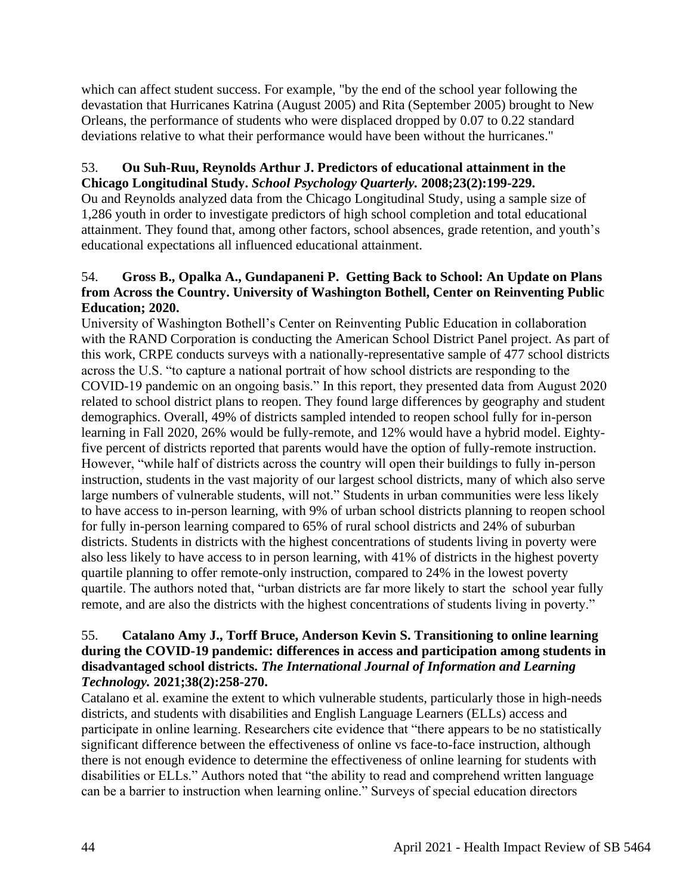which can affect student success. For example, "by the end of the school year following the devastation that Hurricanes Katrina (August 2005) and Rita (September 2005) brought to New Orleans, the performance of students who were displaced dropped by 0.07 to 0.22 standard deviations relative to what their performance would have been without the hurricanes."

## 53. **Ou Suh-Ruu, Reynolds Arthur J. Predictors of educational attainment in the Chicago Longitudinal Study.** *School Psychology Quarterly.* **2008;23(2):199-229.**

Ou and Reynolds analyzed data from the Chicago Longitudinal Study, using a sample size of 1,286 youth in order to investigate predictors of high school completion and total educational attainment. They found that, among other factors, school absences, grade retention, and youth's educational expectations all influenced educational attainment.

## 54. **Gross B., Opalka A., Gundapaneni P. Getting Back to School: An Update on Plans from Across the Country. University of Washington Bothell, Center on Reinventing Public Education; 2020.**

University of Washington Bothell's Center on Reinventing Public Education in collaboration with the RAND Corporation is conducting the American School District Panel project. As part of this work, CRPE conducts surveys with a nationally-representative sample of 477 school districts across the U.S. "to capture a national portrait of how school districts are responding to the COVID-19 pandemic on an ongoing basis." In this report, they presented data from August 2020 related to school district plans to reopen. They found large differences by geography and student demographics. Overall, 49% of districts sampled intended to reopen school fully for in-person learning in Fall 2020, 26% would be fully-remote, and 12% would have a hybrid model. Eightyfive percent of districts reported that parents would have the option of fully-remote instruction. However, "while half of districts across the country will open their buildings to fully in-person instruction, students in the vast majority of our largest school districts, many of which also serve large numbers of vulnerable students, will not." Students in urban communities were less likely to have access to in-person learning, with 9% of urban school districts planning to reopen school for fully in-person learning compared to 65% of rural school districts and 24% of suburban districts. Students in districts with the highest concentrations of students living in poverty were also less likely to have access to in person learning, with 41% of districts in the highest poverty quartile planning to offer remote-only instruction, compared to 24% in the lowest poverty quartile. The authors noted that, "urban districts are far more likely to start the school year fully remote, and are also the districts with the highest concentrations of students living in poverty."

#### 55. **Catalano Amy J., Torff Bruce, Anderson Kevin S. Transitioning to online learning during the COVID-19 pandemic: differences in access and participation among students in disadvantaged school districts.** *The International Journal of Information and Learning Technology.* **2021;38(2):258-270.**

Catalano et al. examine the extent to which vulnerable students, particularly those in high-needs districts, and students with disabilities and English Language Learners (ELLs) access and participate in online learning. Researchers cite evidence that "there appears to be no statistically significant difference between the effectiveness of online vs face-to-face instruction, although there is not enough evidence to determine the effectiveness of online learning for students with disabilities or ELLs." Authors noted that "the ability to read and comprehend written language can be a barrier to instruction when learning online." Surveys of special education directors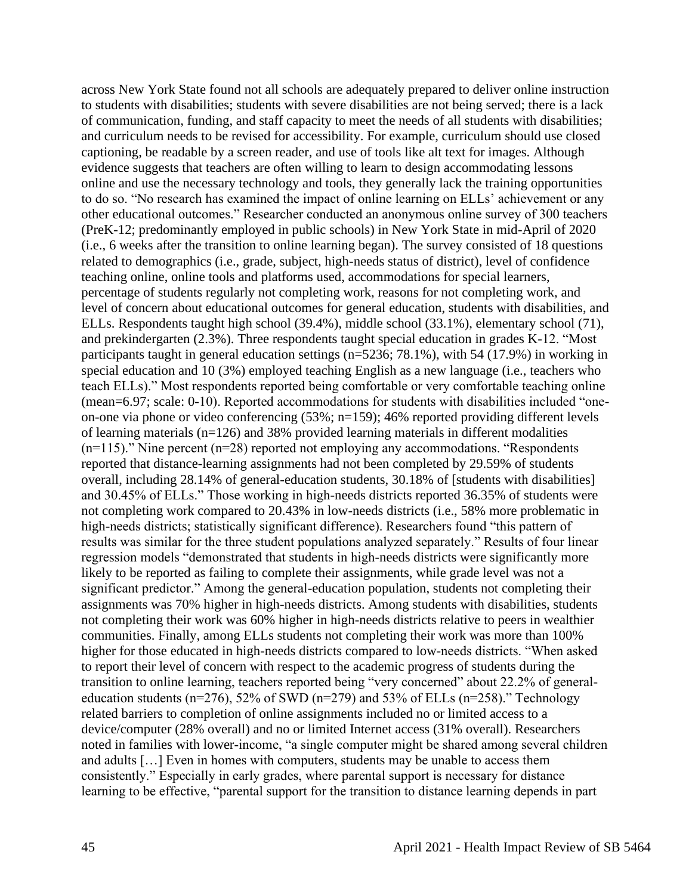across New York State found not all schools are adequately prepared to deliver online instruction to students with disabilities; students with severe disabilities are not being served; there is a lack of communication, funding, and staff capacity to meet the needs of all students with disabilities; and curriculum needs to be revised for accessibility. For example, curriculum should use closed captioning, be readable by a screen reader, and use of tools like alt text for images. Although evidence suggests that teachers are often willing to learn to design accommodating lessons online and use the necessary technology and tools, they generally lack the training opportunities to do so. "No research has examined the impact of online learning on ELLs' achievement or any other educational outcomes." Researcher conducted an anonymous online survey of 300 teachers (PreK-12; predominantly employed in public schools) in New York State in mid-April of 2020 (i.e., 6 weeks after the transition to online learning began). The survey consisted of 18 questions related to demographics (i.e., grade, subject, high-needs status of district), level of confidence teaching online, online tools and platforms used, accommodations for special learners, percentage of students regularly not completing work, reasons for not completing work, and level of concern about educational outcomes for general education, students with disabilities, and ELLs. Respondents taught high school (39.4%), middle school (33.1%), elementary school (71), and prekindergarten (2.3%). Three respondents taught special education in grades K-12. "Most participants taught in general education settings (n=5236; 78.1%), with 54 (17.9%) in working in special education and 10 (3%) employed teaching English as a new language (i.e., teachers who teach ELLs)." Most respondents reported being comfortable or very comfortable teaching online (mean=6.97; scale: 0-10). Reported accommodations for students with disabilities included "oneon-one via phone or video conferencing (53%; n=159); 46% reported providing different levels of learning materials (n=126) and 38% provided learning materials in different modalities  $(n=115)$ ." Nine percent  $(n=28)$  reported not employing any accommodations. "Respondents" reported that distance-learning assignments had not been completed by 29.59% of students overall, including 28.14% of general-education students, 30.18% of [students with disabilities] and 30.45% of ELLs." Those working in high-needs districts reported 36.35% of students were not completing work compared to 20.43% in low-needs districts (i.e., 58% more problematic in high-needs districts; statistically significant difference). Researchers found "this pattern of results was similar for the three student populations analyzed separately." Results of four linear regression models "demonstrated that students in high-needs districts were significantly more likely to be reported as failing to complete their assignments, while grade level was not a significant predictor." Among the general-education population, students not completing their assignments was 70% higher in high-needs districts. Among students with disabilities, students not completing their work was 60% higher in high-needs districts relative to peers in wealthier communities. Finally, among ELLs students not completing their work was more than 100% higher for those educated in high-needs districts compared to low-needs districts. "When asked to report their level of concern with respect to the academic progress of students during the transition to online learning, teachers reported being "very concerned" about 22.2% of generaleducation students (n=276), 52% of SWD (n=279) and 53% of ELLs (n=258)." Technology related barriers to completion of online assignments included no or limited access to a device/computer (28% overall) and no or limited Internet access (31% overall). Researchers noted in families with lower-income, "a single computer might be shared among several children and adults […] Even in homes with computers, students may be unable to access them consistently." Especially in early grades, where parental support is necessary for distance learning to be effective, "parental support for the transition to distance learning depends in part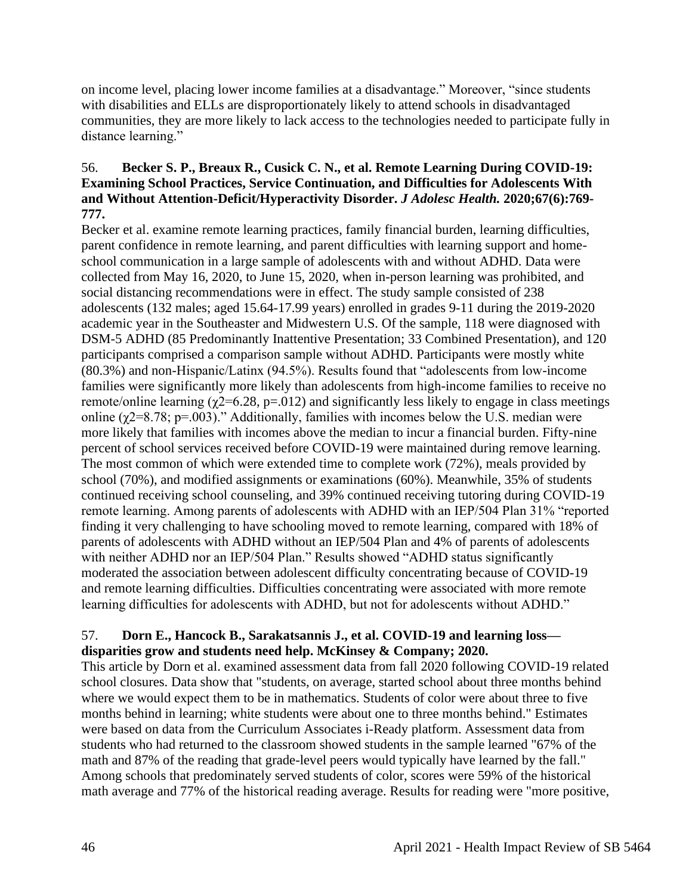on income level, placing lower income families at a disadvantage." Moreover, "since students with disabilities and ELLs are disproportionately likely to attend schools in disadvantaged communities, they are more likely to lack access to the technologies needed to participate fully in distance learning."

## 56. **Becker S. P., Breaux R., Cusick C. N., et al. Remote Learning During COVID-19: Examining School Practices, Service Continuation, and Difficulties for Adolescents With and Without Attention-Deficit/Hyperactivity Disorder.** *J Adolesc Health.* **2020;67(6):769- 777.**

Becker et al. examine remote learning practices, family financial burden, learning difficulties, parent confidence in remote learning, and parent difficulties with learning support and homeschool communication in a large sample of adolescents with and without ADHD. Data were collected from May 16, 2020, to June 15, 2020, when in-person learning was prohibited, and social distancing recommendations were in effect. The study sample consisted of 238 adolescents (132 males; aged 15.64-17.99 years) enrolled in grades 9-11 during the 2019-2020 academic year in the Southeaster and Midwestern U.S. Of the sample, 118 were diagnosed with DSM-5 ADHD (85 Predominantly Inattentive Presentation; 33 Combined Presentation), and 120 participants comprised a comparison sample without ADHD. Participants were mostly white (80.3%) and non-Hispanic/Latinx (94.5%). Results found that "adolescents from low-income families were significantly more likely than adolescents from high-income families to receive no remote/online learning ( $\gamma$ 2=6.28, p=.012) and significantly less likely to engage in class meetings online ( $\chi$ 2=8.78; p=.003)." Additionally, families with incomes below the U.S. median were more likely that families with incomes above the median to incur a financial burden. Fifty-nine percent of school services received before COVID-19 were maintained during remove learning. The most common of which were extended time to complete work (72%), meals provided by school (70%), and modified assignments or examinations (60%). Meanwhile, 35% of students continued receiving school counseling, and 39% continued receiving tutoring during COVID-19 remote learning. Among parents of adolescents with ADHD with an IEP/504 Plan 31% "reported finding it very challenging to have schooling moved to remote learning, compared with 18% of parents of adolescents with ADHD without an IEP/504 Plan and 4% of parents of adolescents with neither ADHD nor an IEP/504 Plan." Results showed "ADHD status significantly moderated the association between adolescent difficulty concentrating because of COVID-19 and remote learning difficulties. Difficulties concentrating were associated with more remote learning difficulties for adolescents with ADHD, but not for adolescents without ADHD."

## 57. **Dorn E., Hancock B., Sarakatsannis J., et al. COVID-19 and learning loss disparities grow and students need help. McKinsey & Company; 2020.**

This article by Dorn et al. examined assessment data from fall 2020 following COVID-19 related school closures. Data show that "students, on average, started school about three months behind where we would expect them to be in mathematics. Students of color were about three to five months behind in learning; white students were about one to three months behind." Estimates were based on data from the Curriculum Associates i-Ready platform. Assessment data from students who had returned to the classroom showed students in the sample learned "67% of the math and 87% of the reading that grade-level peers would typically have learned by the fall." Among schools that predominately served students of color, scores were 59% of the historical math average and 77% of the historical reading average. Results for reading were "more positive,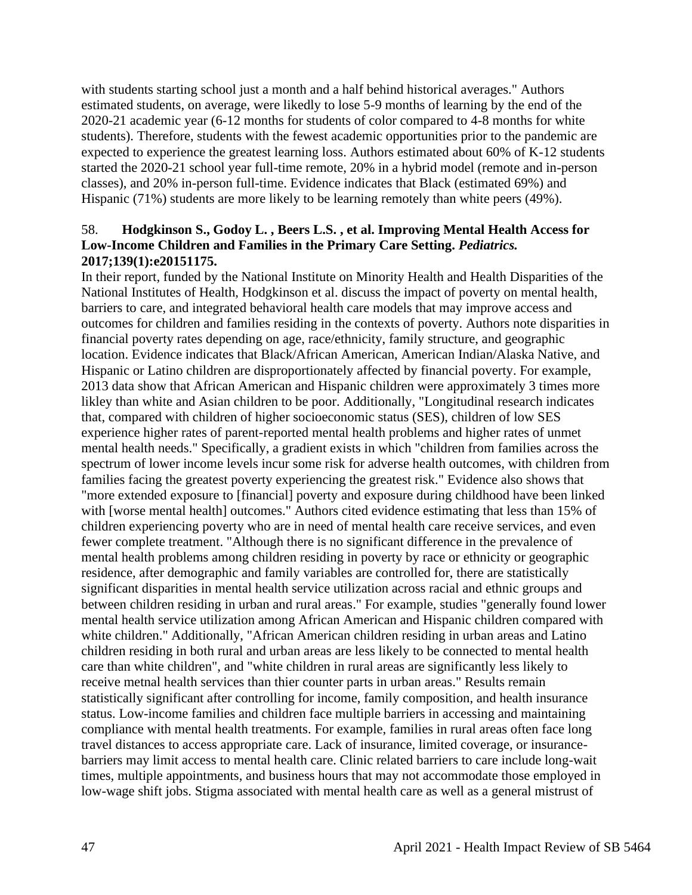with students starting school just a month and a half behind historical averages." Authors estimated students, on average, were likedly to lose 5-9 months of learning by the end of the 2020-21 academic year (6-12 months for students of color compared to 4-8 months for white students). Therefore, students with the fewest academic opportunities prior to the pandemic are expected to experience the greatest learning loss. Authors estimated about 60% of K-12 students started the 2020-21 school year full-time remote, 20% in a hybrid model (remote and in-person classes), and 20% in-person full-time. Evidence indicates that Black (estimated 69%) and Hispanic (71%) students are more likely to be learning remotely than white peers (49%).

## 58. **Hodgkinson S., Godoy L. , Beers L.S. , et al. Improving Mental Health Access for Low-Income Children and Families in the Primary Care Setting.** *Pediatrics.*  **2017;139(1):e20151175.**

In their report, funded by the National Institute on Minority Health and Health Disparities of the National Institutes of Health, Hodgkinson et al. discuss the impact of poverty on mental health, barriers to care, and integrated behavioral health care models that may improve access and outcomes for children and families residing in the contexts of poverty. Authors note disparities in financial poverty rates depending on age, race/ethnicity, family structure, and geographic location. Evidence indicates that Black/African American, American Indian/Alaska Native, and Hispanic or Latino children are disproportionately affected by financial poverty. For example, 2013 data show that African American and Hispanic children were approximately 3 times more likley than white and Asian children to be poor. Additionally, "Longitudinal research indicates that, compared with children of higher socioeconomic status (SES), children of low SES experience higher rates of parent-reported mental health problems and higher rates of unmet mental health needs." Specifically, a gradient exists in which "children from families across the spectrum of lower income levels incur some risk for adverse health outcomes, with children from families facing the greatest poverty experiencing the greatest risk." Evidence also shows that "more extended exposure to [financial] poverty and exposure during childhood have been linked with [worse mental health] outcomes." Authors cited evidence estimating that less than 15% of children experiencing poverty who are in need of mental health care receive services, and even fewer complete treatment. "Although there is no significant difference in the prevalence of mental health problems among children residing in poverty by race or ethnicity or geographic residence, after demographic and family variables are controlled for, there are statistically significant disparities in mental health service utilization across racial and ethnic groups and between children residing in urban and rural areas." For example, studies "generally found lower mental health service utilization among African American and Hispanic children compared with white children." Additionally, "African American children residing in urban areas and Latino children residing in both rural and urban areas are less likely to be connected to mental health care than white children", and "white children in rural areas are significantly less likely to receive metnal health services than thier counter parts in urban areas." Results remain statistically significant after controlling for income, family composition, and health insurance status. Low-income families and children face multiple barriers in accessing and maintaining compliance with mental health treatments. For example, families in rural areas often face long travel distances to access appropriate care. Lack of insurance, limited coverage, or insurancebarriers may limit access to mental health care. Clinic related barriers to care include long-wait times, multiple appointments, and business hours that may not accommodate those employed in low-wage shift jobs. Stigma associated with mental health care as well as a general mistrust of